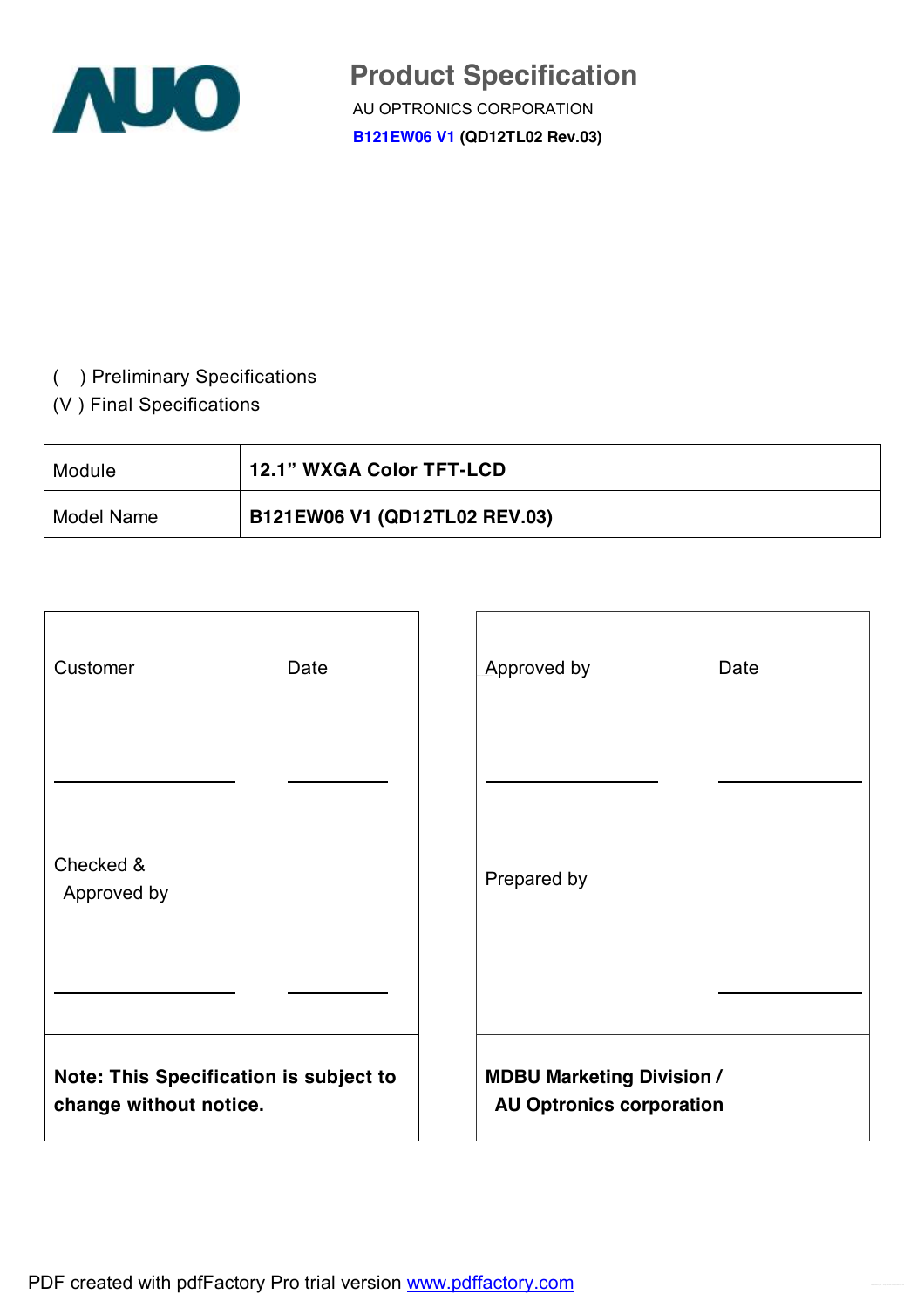

AU OPTRONICS CORPORATION **Product Specification** 

# **B121EW06 V1 (QD12TL02 Rev.03)**

# ( ) Preliminary Specifications

# (V ) Final Specifications

| Module     | <b>12.1" WXGA Color TFT-LCD</b> |
|------------|---------------------------------|
| Model Name | B121EW06 V1 (QD12TL02 REV.03)   |

| Customer                                                         | Date | Approved by                                                         | Date |
|------------------------------------------------------------------|------|---------------------------------------------------------------------|------|
|                                                                  |      |                                                                     |      |
| Checked &<br>Approved by                                         |      | Prepared by                                                         |      |
|                                                                  |      |                                                                     |      |
| Note: This Specification is subject to<br>change without notice. |      | <b>MDBU Marketing Division /</b><br><b>AU Optronics corporation</b> |      |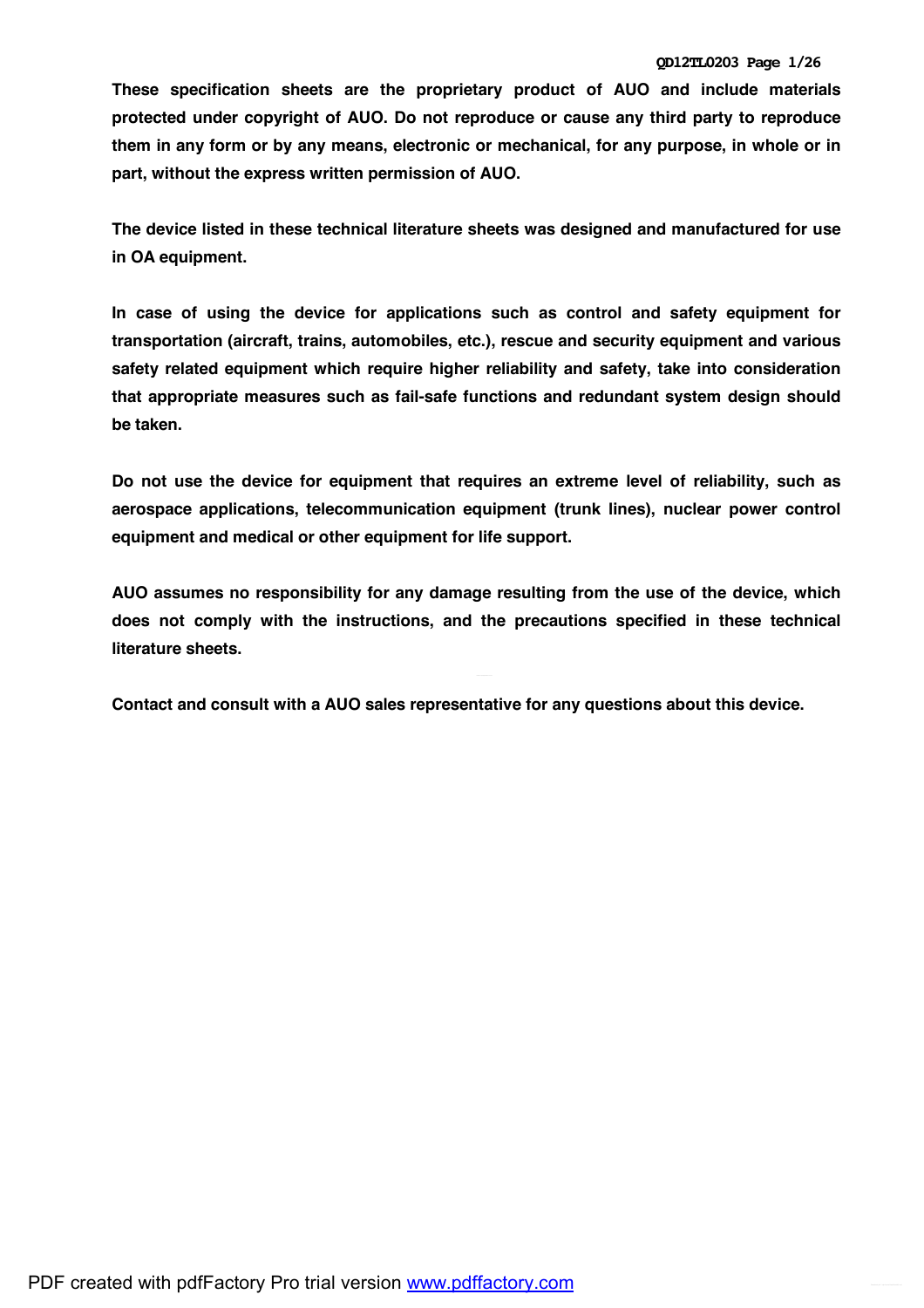#### **QD12TL0203 Page 1/26**

**These specification sheets are the proprietary product of AUO and include materials protected under copyright of AUO. Do not reproduce or cause any third party to reproduce them in any form or by any means, electronic or mechanical, for any purpose, in whole or in part, without the express written permission of AUO.** 

**The device listed in these technical literature sheets was designed and manufactured for use in OA equipment.** 

**In case of using the device for applications such as control and safety equipment for transportation (aircraft, trains, automobiles, etc.), rescue and security equipment and various safety related equipment which require higher reliability and safety, take into consideration that appropriate measures such as fail-safe functions and redundant system design should be taken.** 

**Do not use the device for equipment that requires an extreme level of reliability, such as aerospace applications, telecommunication equipment (trunk lines), nuclear power control equipment and medical or other equipment for life support.** 

**AUO assumes no responsibility for any damage resulting from the use of the device, which does not comply with the instructions, and the precautions specified in these technical literature sheets.** 

**Contact and consult with a AUO sales representative for any questions about this device.**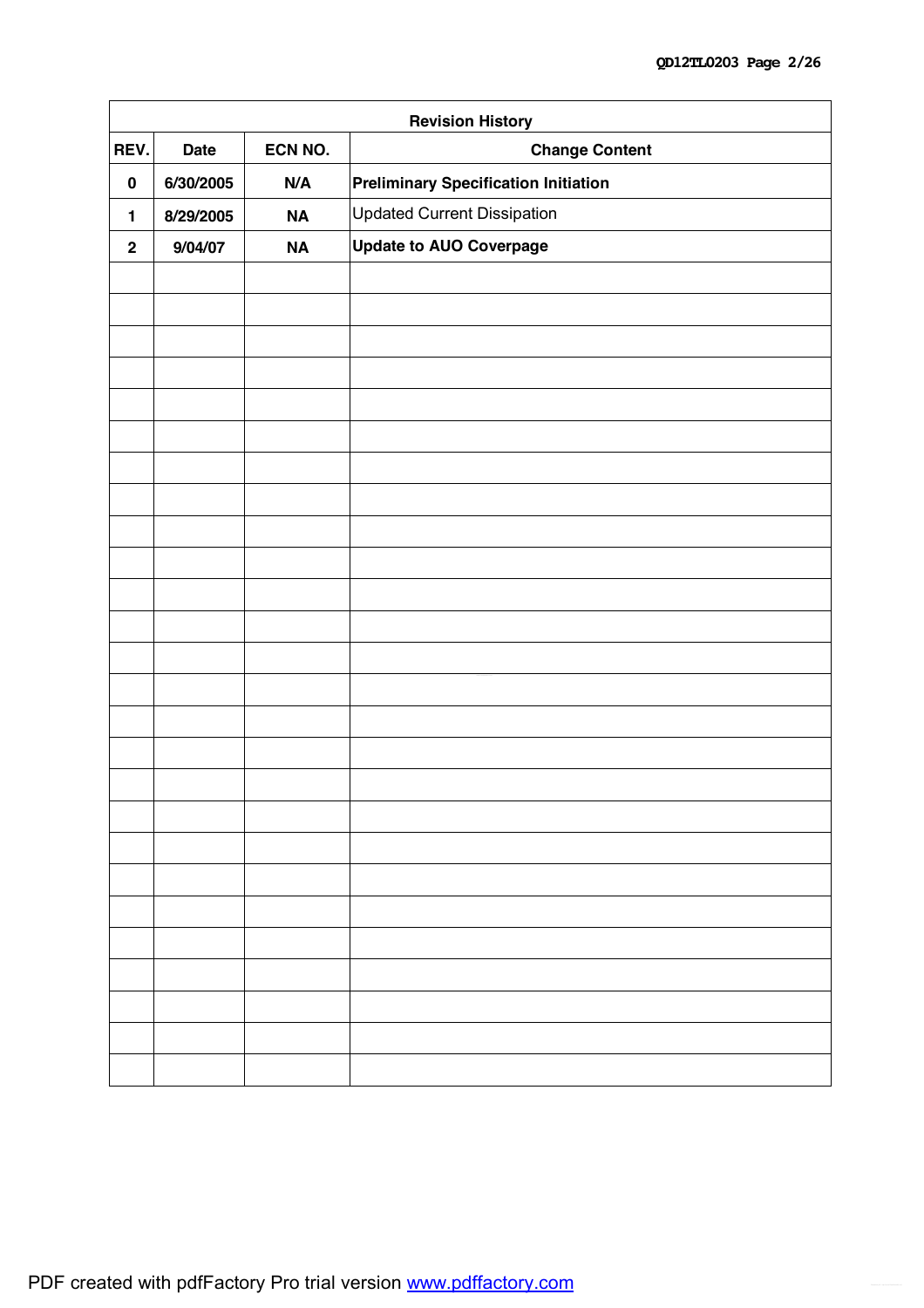|              | <b>Revision History</b> |           |                                             |  |  |  |  |  |  |  |  |  |  |
|--------------|-------------------------|-----------|---------------------------------------------|--|--|--|--|--|--|--|--|--|--|
| REV.         | <b>Date</b>             | ECN NO.   | <b>Change Content</b>                       |  |  |  |  |  |  |  |  |  |  |
| $\pmb{0}$    | 6/30/2005               | N/A       | <b>Preliminary Specification Initiation</b> |  |  |  |  |  |  |  |  |  |  |
| $\mathbf{1}$ | 8/29/2005               | $\sf NA$  | <b>Updated Current Dissipation</b>          |  |  |  |  |  |  |  |  |  |  |
| $\mathbf 2$  | 9/04/07                 | <b>NA</b> | <b>Update to AUO Coverpage</b>              |  |  |  |  |  |  |  |  |  |  |
|              |                         |           |                                             |  |  |  |  |  |  |  |  |  |  |
|              |                         |           |                                             |  |  |  |  |  |  |  |  |  |  |
|              |                         |           |                                             |  |  |  |  |  |  |  |  |  |  |
|              |                         |           |                                             |  |  |  |  |  |  |  |  |  |  |
|              |                         |           |                                             |  |  |  |  |  |  |  |  |  |  |
|              |                         |           |                                             |  |  |  |  |  |  |  |  |  |  |
|              |                         |           |                                             |  |  |  |  |  |  |  |  |  |  |
|              |                         |           |                                             |  |  |  |  |  |  |  |  |  |  |
|              |                         |           |                                             |  |  |  |  |  |  |  |  |  |  |
|              |                         |           |                                             |  |  |  |  |  |  |  |  |  |  |
|              |                         |           |                                             |  |  |  |  |  |  |  |  |  |  |
|              |                         |           |                                             |  |  |  |  |  |  |  |  |  |  |
|              |                         |           |                                             |  |  |  |  |  |  |  |  |  |  |
|              |                         |           |                                             |  |  |  |  |  |  |  |  |  |  |
|              |                         |           |                                             |  |  |  |  |  |  |  |  |  |  |
|              |                         |           |                                             |  |  |  |  |  |  |  |  |  |  |
|              |                         |           |                                             |  |  |  |  |  |  |  |  |  |  |
|              |                         |           |                                             |  |  |  |  |  |  |  |  |  |  |
|              |                         |           |                                             |  |  |  |  |  |  |  |  |  |  |
|              |                         |           |                                             |  |  |  |  |  |  |  |  |  |  |
|              |                         |           |                                             |  |  |  |  |  |  |  |  |  |  |
|              |                         |           |                                             |  |  |  |  |  |  |  |  |  |  |
|              |                         |           |                                             |  |  |  |  |  |  |  |  |  |  |
|              |                         |           |                                             |  |  |  |  |  |  |  |  |  |  |
|              |                         |           |                                             |  |  |  |  |  |  |  |  |  |  |
|              |                         |           |                                             |  |  |  |  |  |  |  |  |  |  |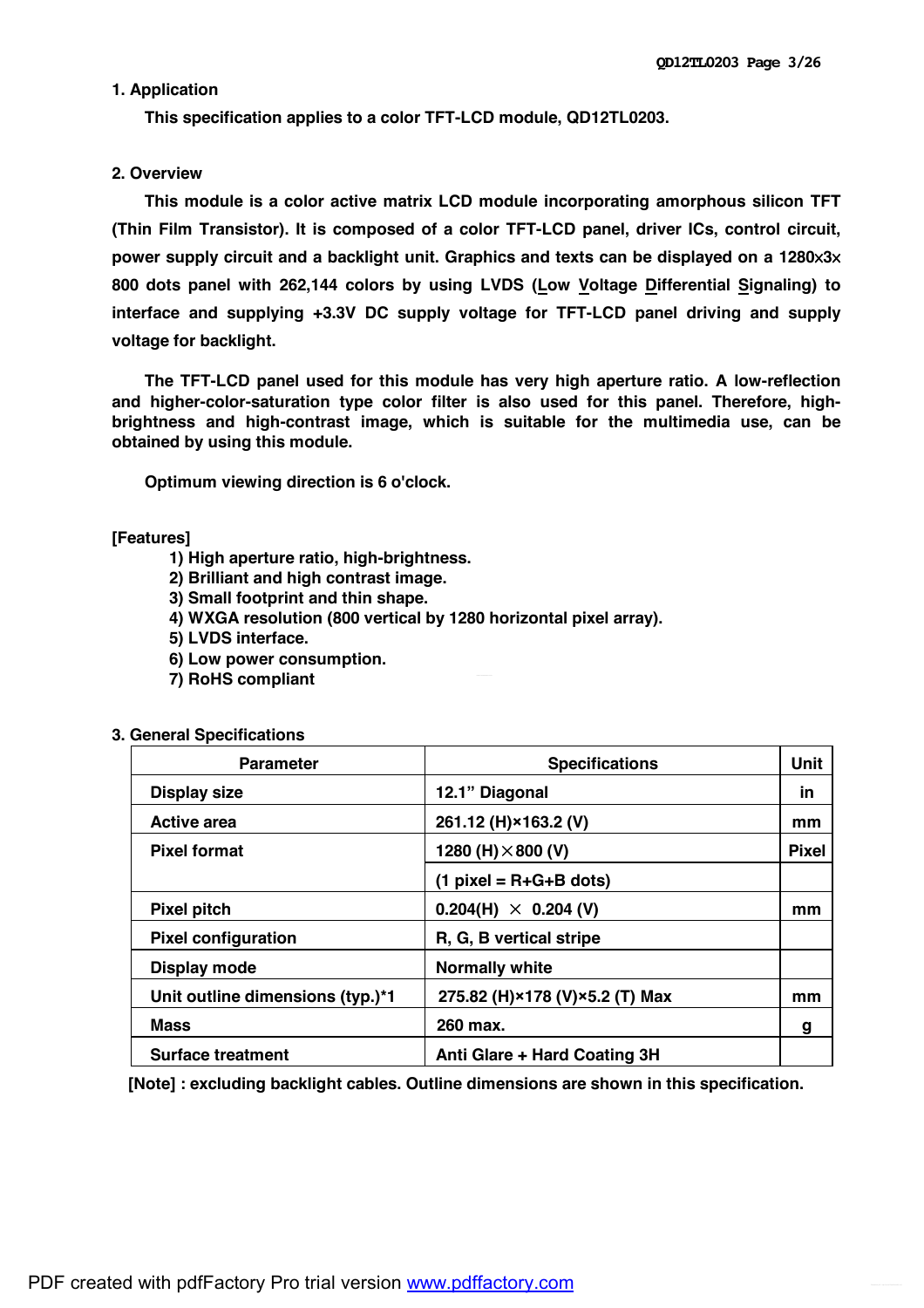#### **1. Application**

 **This specification applies to a color TFT-LCD module, QD12TL0203.** 

#### **2. Overview**

**This module is a color active matrix LCD module incorporating amorphous silicon TFT (Thin Film Transistor). It is composed of a color TFT-LCD panel, driver ICs, control circuit, power supply circuit and a backlight unit. Graphics and texts can be displayed on a 1280**×**3**× **800 dots panel with 262,144 colors by using LVDS (Low Voltage Differential Signaling) to interface and supplying +3.3V DC supply voltage for TFT-LCD panel driving and supply voltage for backlight.** 

**The TFT-LCD panel used for this module has very high aperture ratio. A low-reflection and higher-color-saturation type color filter is also used for this panel. Therefore, highbrightness and high-contrast image, which is suitable for the multimedia use, can be obtained by using this module.** 

**Optimum viewing direction is 6 o'clock.** 

#### **[Features]**

 **1) High aperture ratio, high-brightness.** 

 **2) Brilliant and high contrast image.** 

 **3) Small footprint and thin shape.** 

 **4) WXGA resolution (800 vertical by 1280 horizontal pixel array).** 

 **5) LVDS interface.** 

- **6) Low power consumption.**
- **7) RoHS compliant**

| <b>Parameter</b>                 | <b>Specifications</b>          | <b>Unit</b>  |
|----------------------------------|--------------------------------|--------------|
| <b>Display size</b>              | 12.1" Diagonal                 | in.          |
| <b>Active area</b>               | 261.12 (H) × 163.2 (V)         | mm           |
| <b>Pixel format</b>              | 1280 (H) $\times$ 800 (V)      | <b>Pixel</b> |
|                                  | $(1$ pixel = R+G+B dots)       |              |
| <b>Pixel pitch</b>               | $0.204(H) \times 0.204 (V)$    | mm           |
| <b>Pixel configuration</b>       | R, G, B vertical stripe        |              |
| Display mode                     | <b>Normally white</b>          |              |
| Unit outline dimensions (typ.)*1 | 275.82 (H)×178 (V)×5.2 (T) Max | mm           |
| <b>Mass</b>                      | 260 max.                       | g            |
| <b>Surface treatment</b>         | Anti Glare + Hard Coating 3H   |              |

#### **3. General Specifications**

 **[Note] : excluding backlight cables. Outline dimensions are shown in this specification.**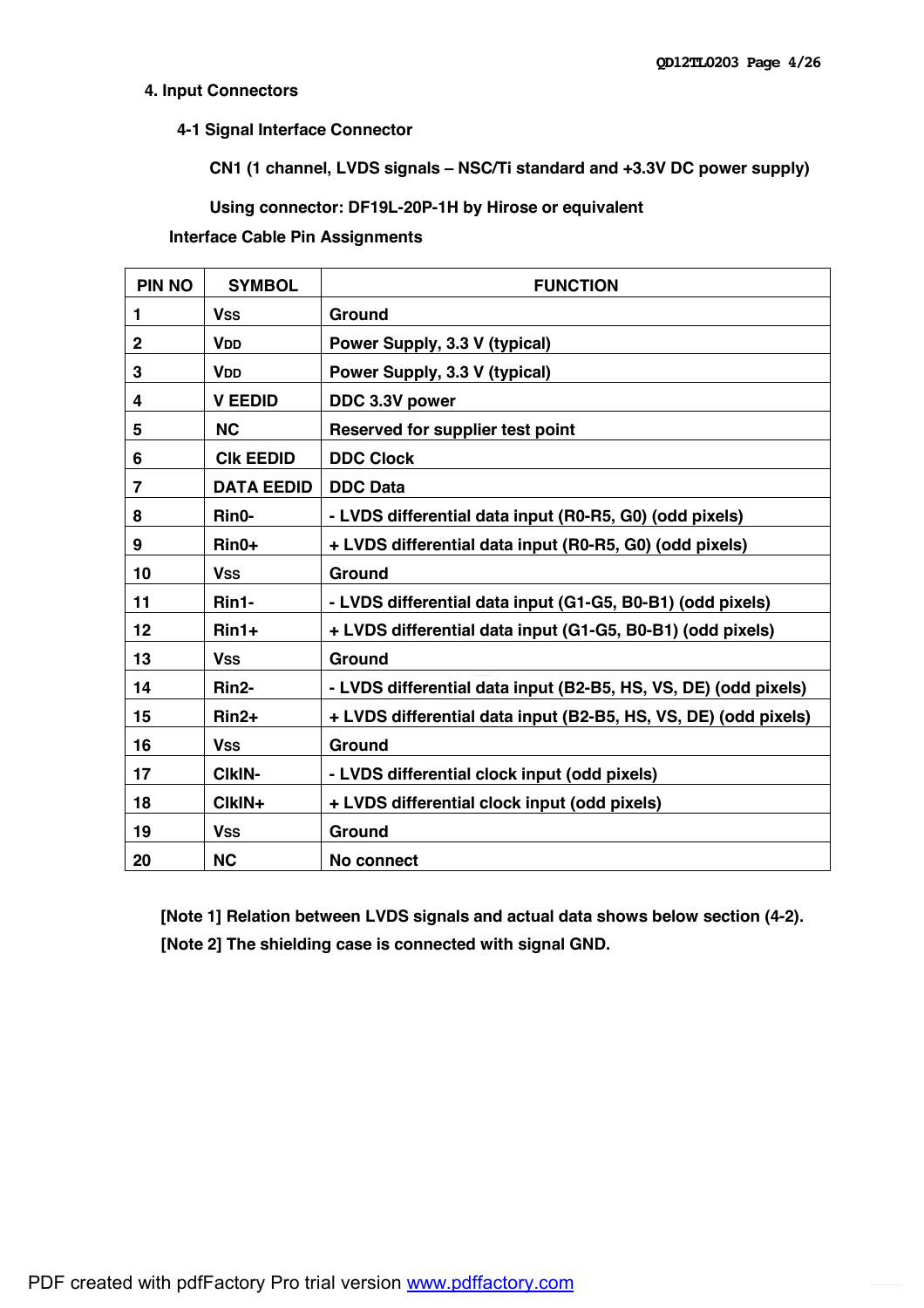# **4. Input Connectors**

# **4-1 Signal Interface Connector**

**CN1 (1 channel, LVDS signals – NSC/Ti standard and +3.3V DC power supply)** 

**Using connector: DF19L-20P-1H by Hirose or equivalent** 

**Interface Cable Pin Assignments** 

| <b>PIN NO</b> | <b>SYMBOL</b>         | <b>FUNCTION</b>                                                 |
|---------------|-----------------------|-----------------------------------------------------------------|
| 1             | <b>Vss</b>            | Ground                                                          |
| $\mathbf{2}$  | <b>V<sub>DD</sub></b> | Power Supply, 3.3 V (typical)                                   |
| 3             | <b>V<sub>DD</sub></b> | Power Supply, 3.3 V (typical)                                   |
| 4             | <b>V EEDID</b>        | DDC 3.3V power                                                  |
| 5             | <b>NC</b>             | Reserved for supplier test point                                |
| 6             | <b>CIK EEDID</b>      | <b>DDC Clock</b>                                                |
| 7             | <b>DATA EEDID</b>     | <b>DDC Data</b>                                                 |
| 8             | Rin0-                 | - LVDS differential data input (R0-R5, G0) (odd pixels)         |
| 9             | $Rin0+$               | + LVDS differential data input (R0-R5, G0) (odd pixels)         |
| 10            | <b>Vss</b>            | Ground                                                          |
| 11            | Rin1-                 | - LVDS differential data input (G1-G5, B0-B1) (odd pixels)      |
| 12            | $Rin1+$               | + LVDS differential data input (G1-G5, B0-B1) (odd pixels)      |
| 13            | <b>Vss</b>            | Ground                                                          |
| 14            | Rin2-                 | - LVDS differential data input (B2-B5, HS, VS, DE) (odd pixels) |
| 15            | Rin <sub>2+</sub>     | + LVDS differential data input (B2-B5, HS, VS, DE) (odd pixels) |
| 16            | <b>Vss</b>            | Ground                                                          |
| 17            | <b>CIKIN-</b>         | - LVDS differential clock input (odd pixels)                    |
| 18            | CIkIN+                | + LVDS differential clock input (odd pixels)                    |
| 19            | <b>Vss</b>            | Ground                                                          |
| 20            | <b>NC</b>             | No connect                                                      |

**[Note 1] Relation between LVDS signals and actual data shows below section (4-2). [Note 2] The shielding case is connected with signal GND.**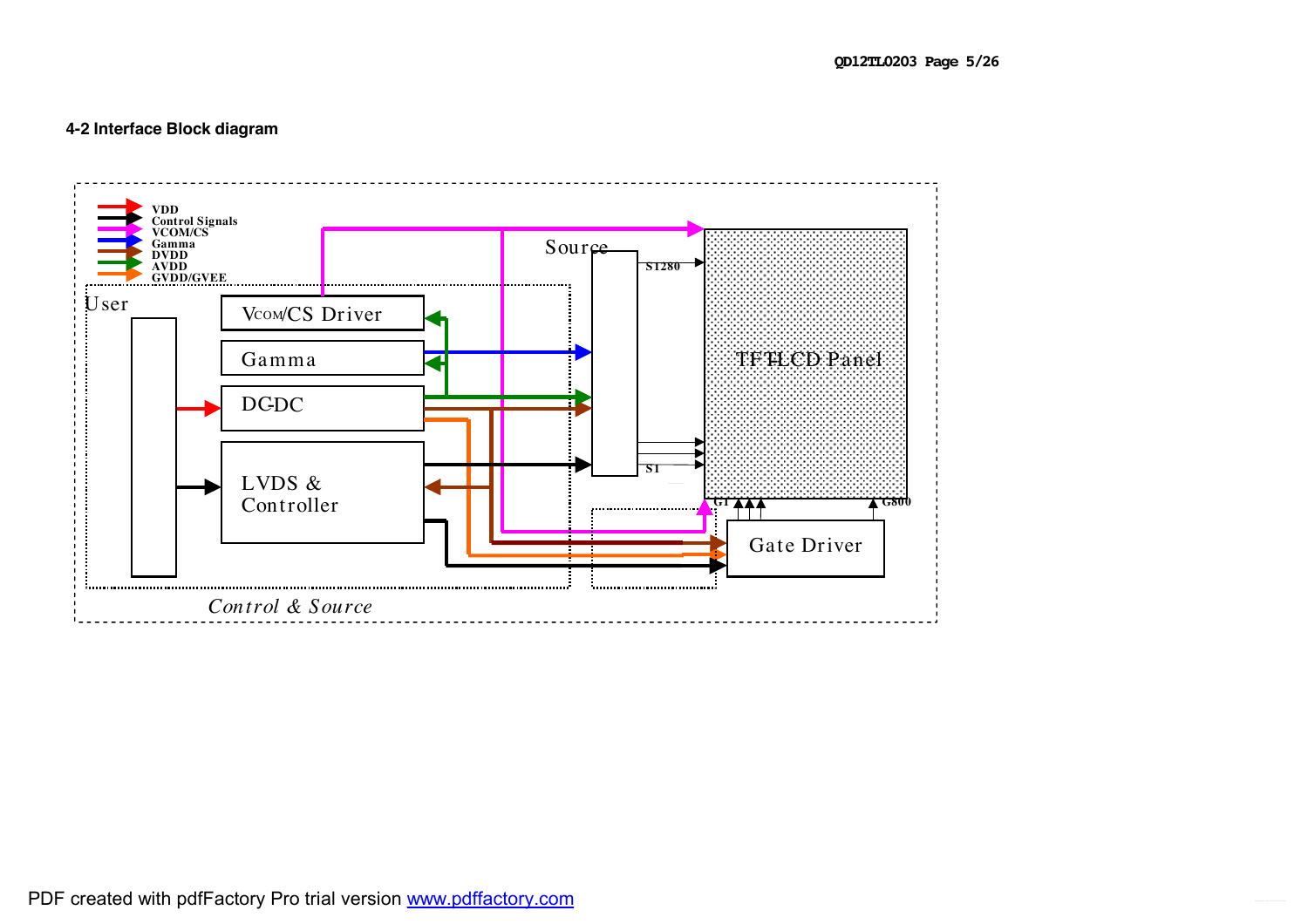# **4-2 Interface Block diagram**



PDF created with pdfFactory Pro trial version [www.pdffactory.com](http://www.pdffactory.com)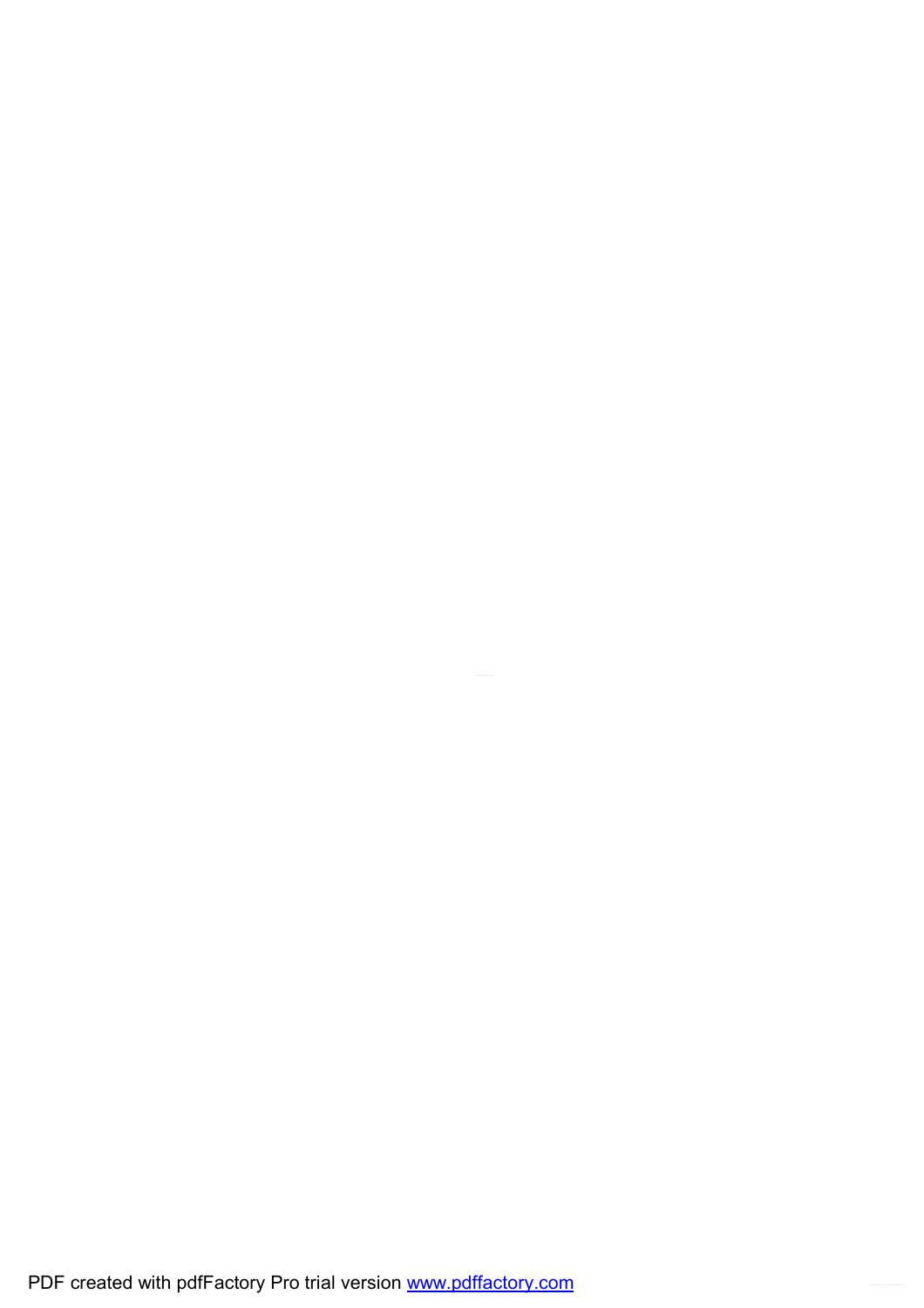PDF created with pdfFactory Pro trial version [www.pdffactory.com](http://www.pdffactory.com)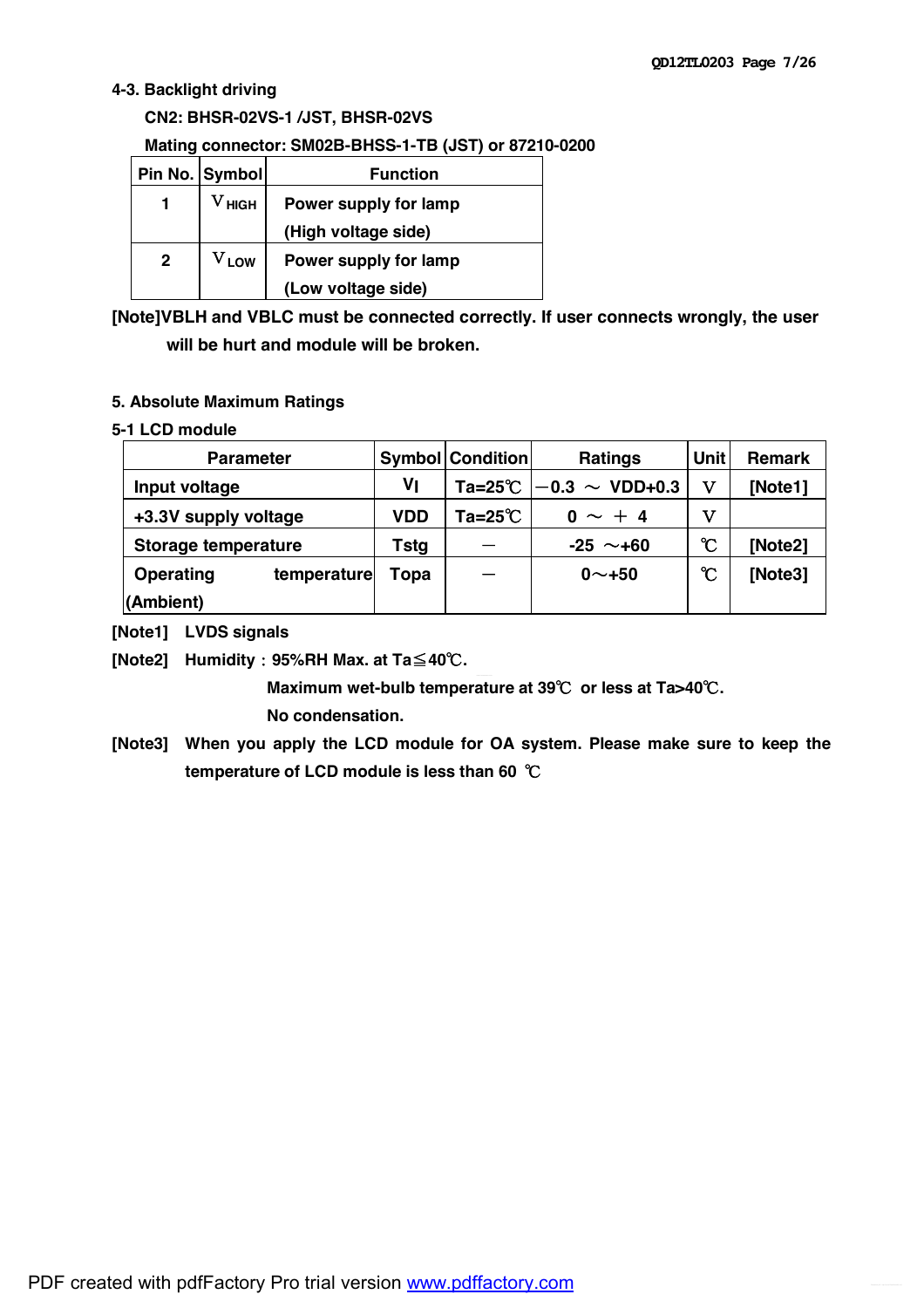# **4-3. Backlight driving**

 **CN2: BHSR-02VS-1 /JST, BHSR-02VS** 

# **Mating connector: SM02B-BHSS-1-TB (JST) or 87210-0200**

|   | Pin No. Symbol        | <b>Function</b>       |
|---|-----------------------|-----------------------|
|   | ${\rm V}$ нісн        | Power supply for lamp |
|   |                       | (High voltage side)   |
| 2 | ${\rm V}{}_{\sf Low}$ | Power supply for lamp |
|   |                       | (Low voltage side)    |

**[Note]VBLH and VBLC must be connected correctly. If user connects wrongly, the user will be hurt and module will be broken.** 

# **5. Absolute Maximum Ratings**

## **5-1 LCD module**

| <b>Parameter</b>         |            | <b>Symbol</b> Condition | <b>Ratings</b>                 | <b>Unit</b>       | <b>Remark</b> |
|--------------------------|------------|-------------------------|--------------------------------|-------------------|---------------|
| Input voltage            | Vı         |                         | Ta=25℃ $ -0.3 $ $\sim$ VDD+0.3 | $\rm{V}$          | [Note1]       |
| +3.3V supply voltage     | <b>VDD</b> | $Ta=25^{\circ}C$        | $0 \sim +4$                    | v                 |               |
| Storage temperature      | Tstg       |                         | $-25 \sim +60$                 | $^\circ\!{\rm C}$ | [Note2]       |
| temperature<br>Operating | Topa       |                         | $0 \sim +50$                   | $^\circ\!{\rm C}$ | [Note3]       |
| (Ambient)                |            |                         |                                |                   |               |

## **[Note1] LVDS signals**

**[Note2] Humidity**:**95%RH Max. at Ta**≦**40**℃**.** 

 **Maximum wet-bulb temperature at 39**℃ **or less at Ta>40**℃**. No condensation.** 

**[Note3] When you apply the LCD module for OA system. Please make sure to keep the temperature of LCD module is less than 60** ℃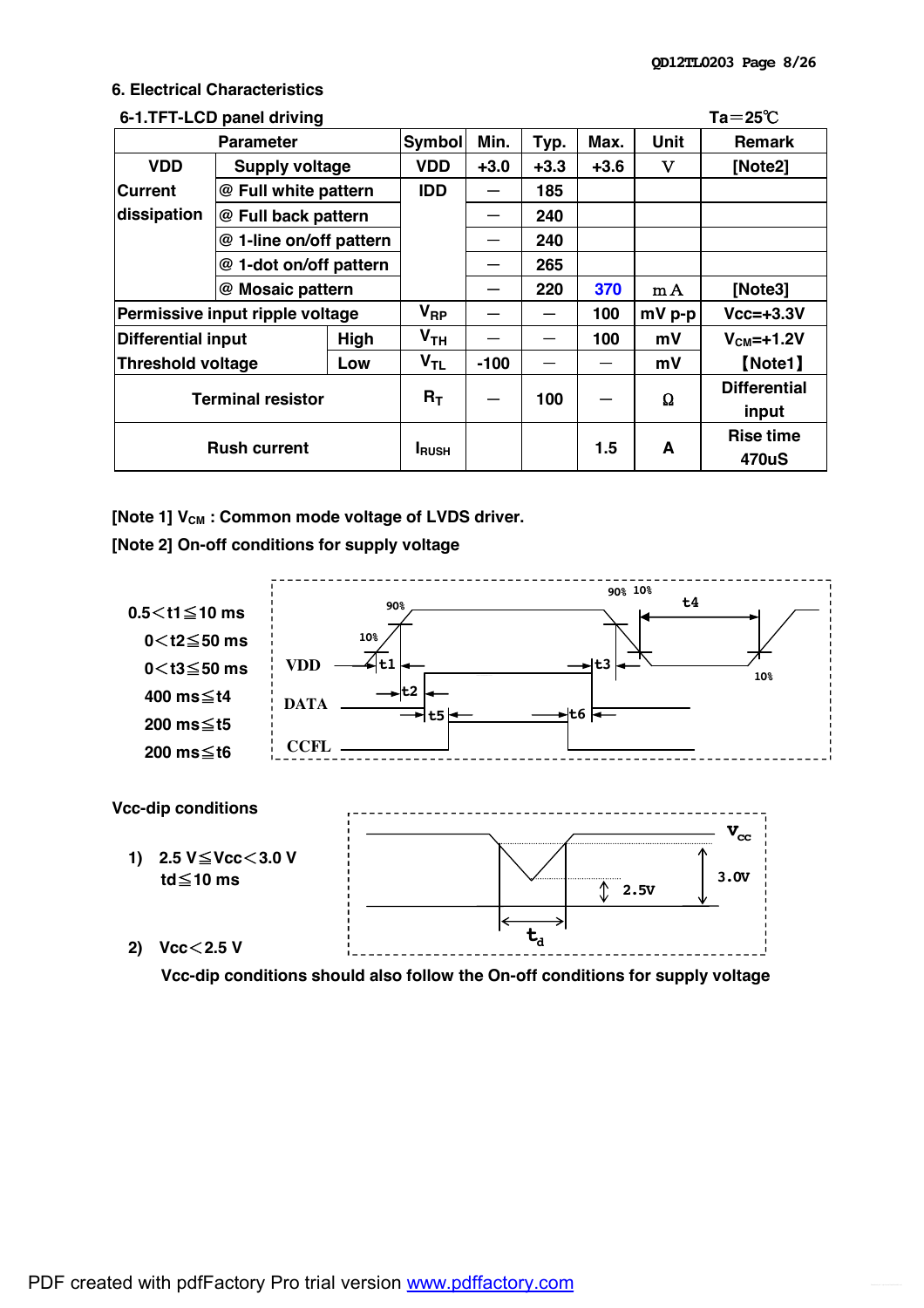# **6. Electrical Characteristics**

|                           | 6-1.TFT-LCD panel driving       | $Ta = 25^{\circ}C$ |                   |        |        |                              |                           |                  |
|---------------------------|---------------------------------|--------------------|-------------------|--------|--------|------------------------------|---------------------------|------------------|
|                           | <b>Parameter</b>                |                    | <b>Symbol</b>     | Min.   | Typ.   | Max.                         | <b>Unit</b>               | <b>Remark</b>    |
| <b>VDD</b>                | <b>Supply voltage</b>           |                    | <b>VDD</b>        | $+3.0$ | $+3.3$ | $+3.6$                       | $\rm{V}$                  | [Note2]          |
| <b>Current</b>            | @ Full white pattern            |                    | <b>IDD</b>        |        | 185    |                              |                           |                  |
| dissipation               | @ Full back pattern             |                    |                   |        | 240    |                              |                           |                  |
|                           | @ 1-line on/off pattern         |                    |                   |        | 240    |                              |                           |                  |
|                           | @ 1-dot on/off pattern          |                    |                   | 265    |        |                              |                           |                  |
|                           | @ Mosaic pattern                |                    |                   |        | 220    | 370                          | mA                        | [Note3]          |
|                           | Permissive input ripple voltage |                    | $V_{\mathsf{RP}}$ |        |        | 100                          | $mV$ p-p                  | $Vcc = +3.3V$    |
| <b>Differential input</b> |                                 | High               | V <sub>TH</sub>   |        |        | 100                          | mV                        | $V_{CM} = +1.2V$ |
| <b>Threshold voltage</b>  |                                 | Low                | $V_{TL}$          | $-100$ |        |                              | mV                        | [Note1]          |
| <b>Terminal resistor</b>  | $R_T$                           |                    | 100               |        | Ω      | <b>Differential</b><br>input |                           |                  |
|                           | <b>Rush current</b>             | <b>I</b> RUSH      |                   |        | 1.5    | A                            | <b>Rise time</b><br>470uS |                  |

**[Note 1]**  $V_{CM}$  **: Common mode voltage of LVDS driver.** 

**[Note 2] On-off conditions for supply voltage** 

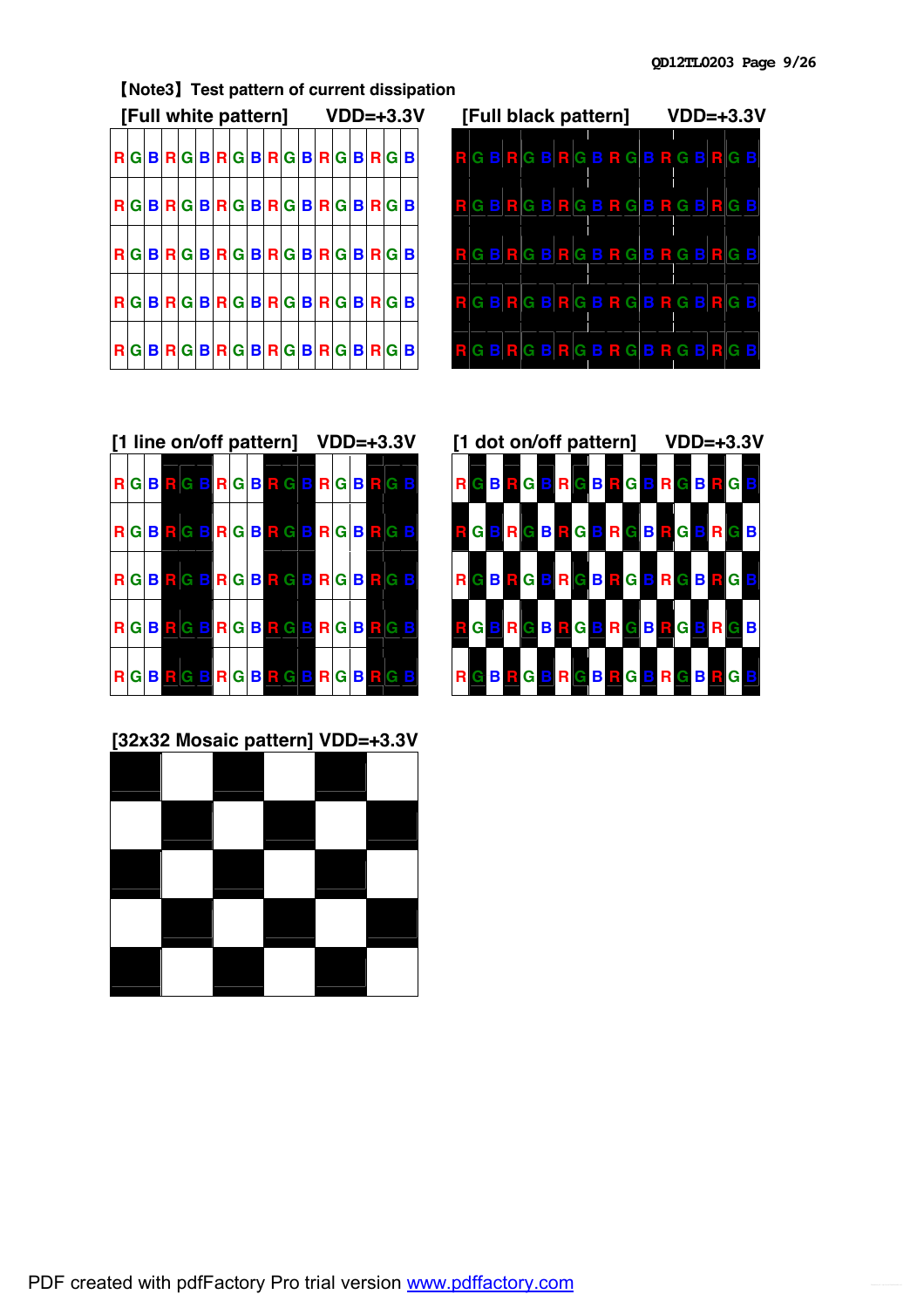# 【**Note3**】**Test pattern of current dissipation**

|  |  |  |  |  | [Full white pattern] |  |  |  | $R G   B   R   G   B   R   G   B   R   G   B   R   G   B$<br>$R G   B   R   G   B   R   G   B   R   G   B   R   G   B$<br>$R G   B   R   G   B   R   G   B   R   G   B   R   G   B$<br>$R G   B   R   G   B   R   G   B   R   G   B   R   G   B$ | $VDD=+3.3V$<br> R G B R G B R G B R G B R G B R G B |  |  |  |  |  |  | [Full black pattern] |  |  | $VDD=+3.3'$<br><b>RGBRGBRGBRGBRGBRGB</b><br><b>RGBRGBRGBRGBRGBRGB</b><br><b>RGBRGBRGBRGBRGBRGB</b><br><b>RGBRGBRGBRGBRGBRGB</b><br><b>RGBRGBRGBRGBRGBRGB</b> |
|--|--|--|--|--|----------------------|--|--|--|--------------------------------------------------------------------------------------------------------------------------------------------------------------------------------------------------------------------------------------------------|-----------------------------------------------------|--|--|--|--|--|--|----------------------|--|--|--------------------------------------------------------------------------------------------------------------------------------------------------------------|





**[32x32 Mosaic pattern] VDD=+3.3V**

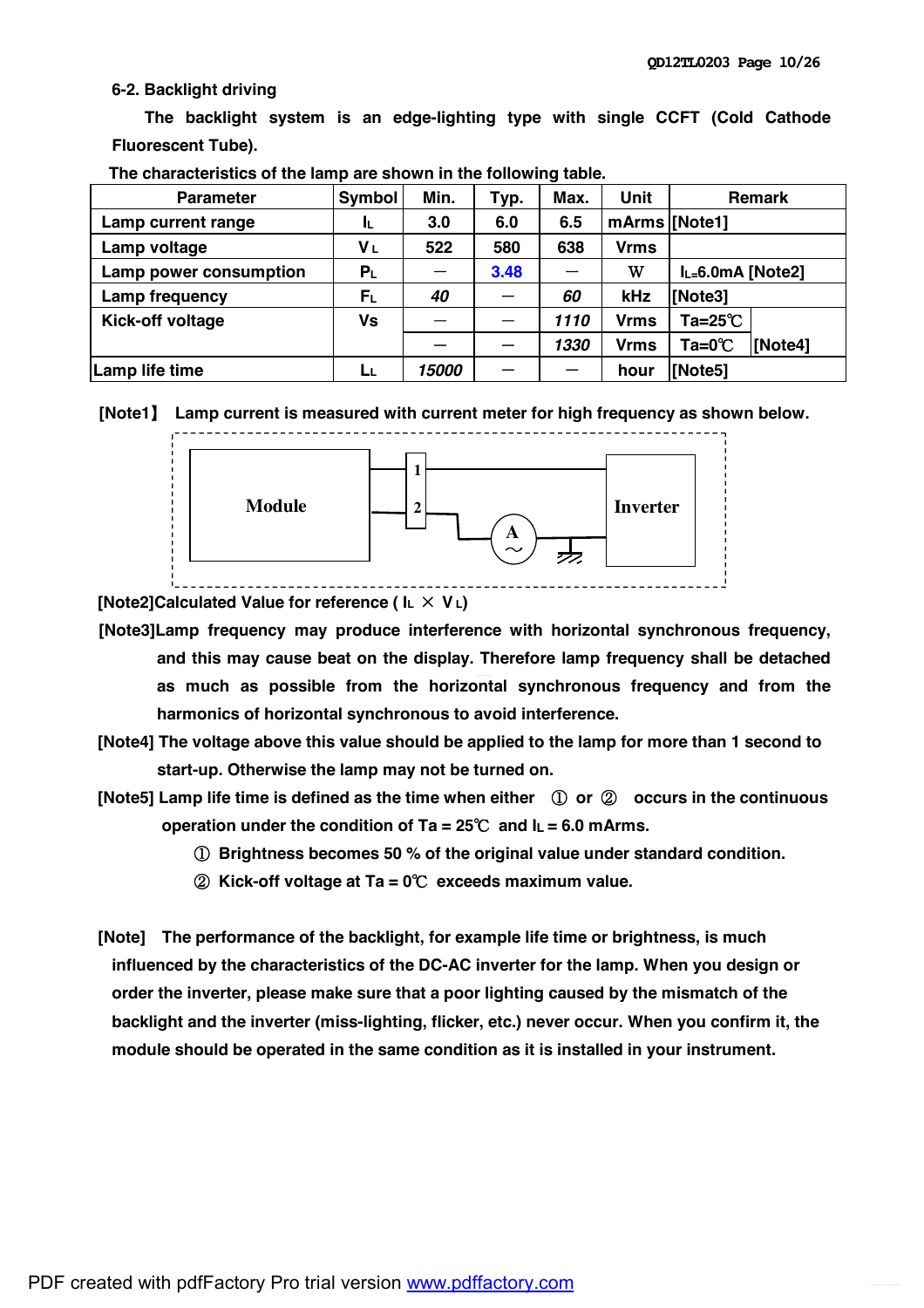#### **6-2. Backlight driving**

 **The backlight system is an edge-lighting type with single CCFT (Cold Cathode Fluorescent Tube).** 

| <b>Parameter</b>       | Symbol         | Min.  | Typ.                     | Max. | <b>Unit</b>   | <b>Remark</b>              |
|------------------------|----------------|-------|--------------------------|------|---------------|----------------------------|
| Lamp current range     | ЦL.            | 3.0   | 6.0                      | 6.5  | mArms [Note1] |                            |
| Lamp voltage           | V <sub>L</sub> | 522   | 580                      | 638  | Vrms          |                            |
| Lamp power consumption | P <sub>L</sub> |       | 3.48                     |      | W             | IL=6.0mA [Note2]           |
| Lamp frequency         | $F_L$          | 40    |                          | 60   | kHz           | [Note3]                    |
| Kick-off voltage       | Vs             |       | $\overline{\phantom{0}}$ | 1110 | Vrms          | $Ta=25^{\circ}C$           |
|                        |                |       | —                        | 1330 | <b>Vrms</b>   | $Ta=0^{\circ}C$<br>[Note4] |
| Lamp life time         | Lц             | 15000 |                          |      | hour          | [Note5]                    |

**The characteristics of the lamp are shown in the following table.** 

#### **[Note1**】 **Lamp current is measured with current meter for high frequency as shown below.**



**[Note2]Calculated Value for reference ( IL** × **V L)**

- **[Note3]Lamp frequency may produce interference with horizontal synchronous frequency, and this may cause beat on the display. Therefore lamp frequency shall be detached as much as possible from the horizontal synchronous frequency and from the harmonics of horizontal synchronous to avoid interference.**
- **[Note4] The voltage above this value should be applied to the lamp for more than 1 second to start-up. Otherwise the lamp may not be turned on.**
- **[Note5] Lamp life time is defined as the time when either** ① **or** ② **occurs in the continuous operation under the condition of Ta = 25**℃ **and IL = 6.0 mArms.** 
	- ① **Brightness becomes 50 % of the original value under standard condition.**
	- ② **Kick-off voltage at Ta = 0**℃ **exceeds maximum value.**
- **[Note] The performance of the backlight, for example life time or brightness, is much influenced by the characteristics of the DC-AC inverter for the lamp. When you design or order the inverter, please make sure that a poor lighting caused by the mismatch of the backlight and the inverter (miss-lighting, flicker, etc.) never occur. When you confirm it, the module should be operated in the same condition as it is installed in your instrument.**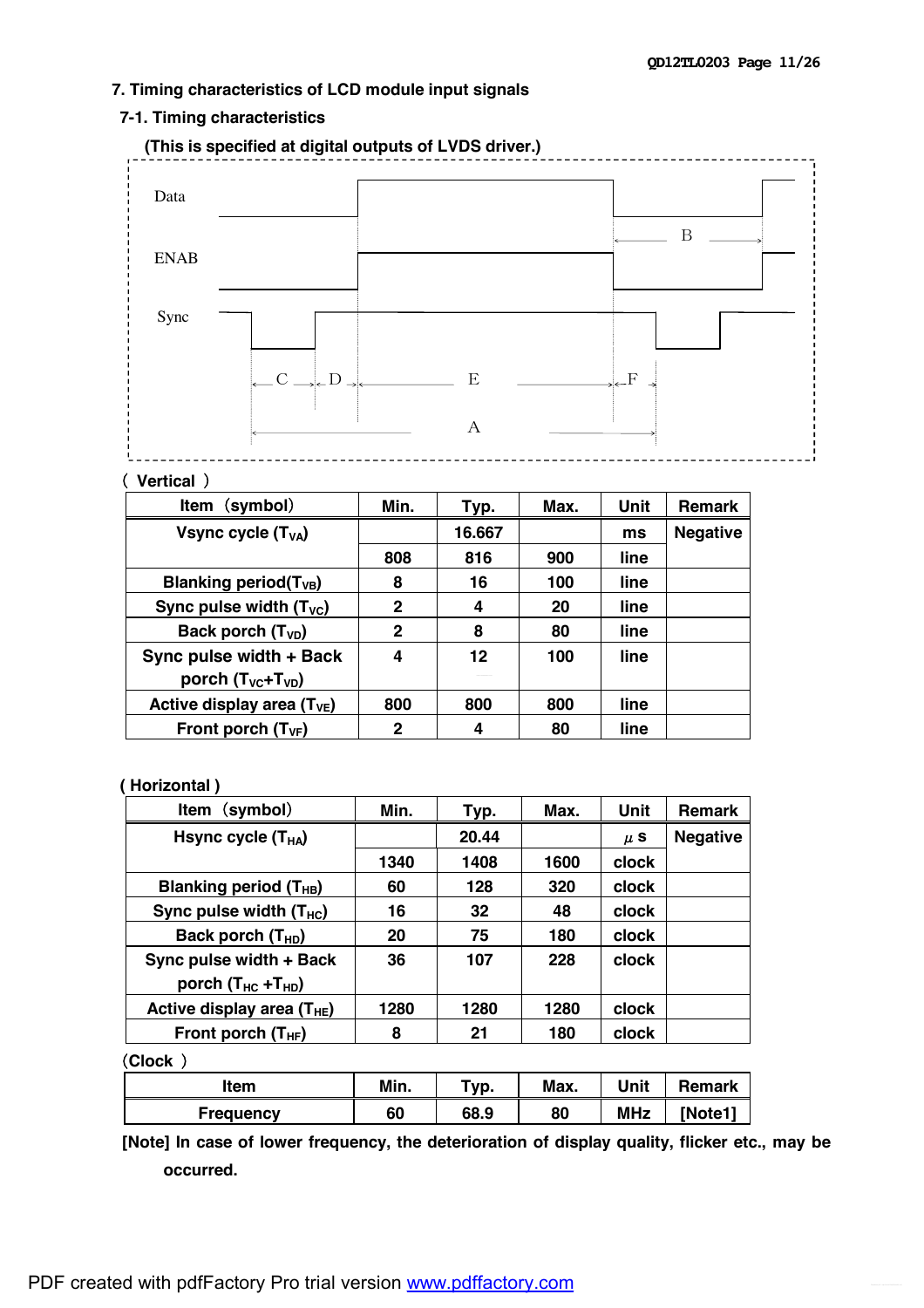# **7. Timing characteristics of LCD module input signals**

# **7-1. Timing characteristics**



# ( **Vertical** )

| (symbol)<br>Item                      | Min.         | Typ.   | Max. | <b>Unit</b> | <b>Remark</b>   |
|---------------------------------------|--------------|--------|------|-------------|-----------------|
| Vsync cycle $(T_{VA})$                |              | 16.667 |      | ms          | <b>Negative</b> |
|                                       | 808          | 816    | 900  | line        |                 |
| Blanking period $(T_{VB})$            | 8            | 16     | 100  | line        |                 |
| Sync pulse width $(T_{VC})$           | 2            | 4      | 20   | line        |                 |
| Back porch $(T_{VD})$                 | $\mathbf{2}$ | 8      | 80   | line        |                 |
| Sync pulse width + Back               | 4            | 12     | 100  | line        |                 |
| porch $(T_{\text{VC}}+T_{\text{VD}})$ |              |        |      |             |                 |
| Active display area $(T_{VE})$        | 800          | 800    | 800  | line        |                 |
| Front porch $(T_{VF})$                | 2            | 4      | 80   | line        |                 |

#### **( Horizontal )**

| Item (symbol)                  | Min. | Typ.  | Max. | <b>Unit</b> | <b>Remark</b>   |  |  |  |
|--------------------------------|------|-------|------|-------------|-----------------|--|--|--|
| Hsync cycle $(T_{HA})$         |      | 20.44 |      | $\mu$ S     | <b>Negative</b> |  |  |  |
|                                | 1340 | 1408  | 1600 | clock       |                 |  |  |  |
| Blanking period $(T_{HB})$     | 60   | 128   | 320  | clock       |                 |  |  |  |
| Sync pulse width $(T_{HC})$    | 16   | 32    | 48   | clock       |                 |  |  |  |
| Back porch $(T_{HD})$          | 20   | 75    | 180  | clock       |                 |  |  |  |
| Sync pulse width + Back        | 36   | 107   | 228  | clock       |                 |  |  |  |
| porch $(T_{HC} + T_{HD})$      |      |       |      |             |                 |  |  |  |
| Active display area $(T_{HE})$ | 1280 | 1280  | 1280 | clock       |                 |  |  |  |
| Front porch $(T_{HF})$         | 8    | 21    | 180  | clock       |                 |  |  |  |
| (Clock)                        |      |       |      |             |                 |  |  |  |
| Item                           | Min. | Typ.  | Max. | Unit        | <b>Remark</b>   |  |  |  |

**[Note] In case of lower frequency, the deterioration of display quality, flicker etc., may be occurred.** 

**Frequency** | 60 | 68.9 | 80 | MHz | [Note1]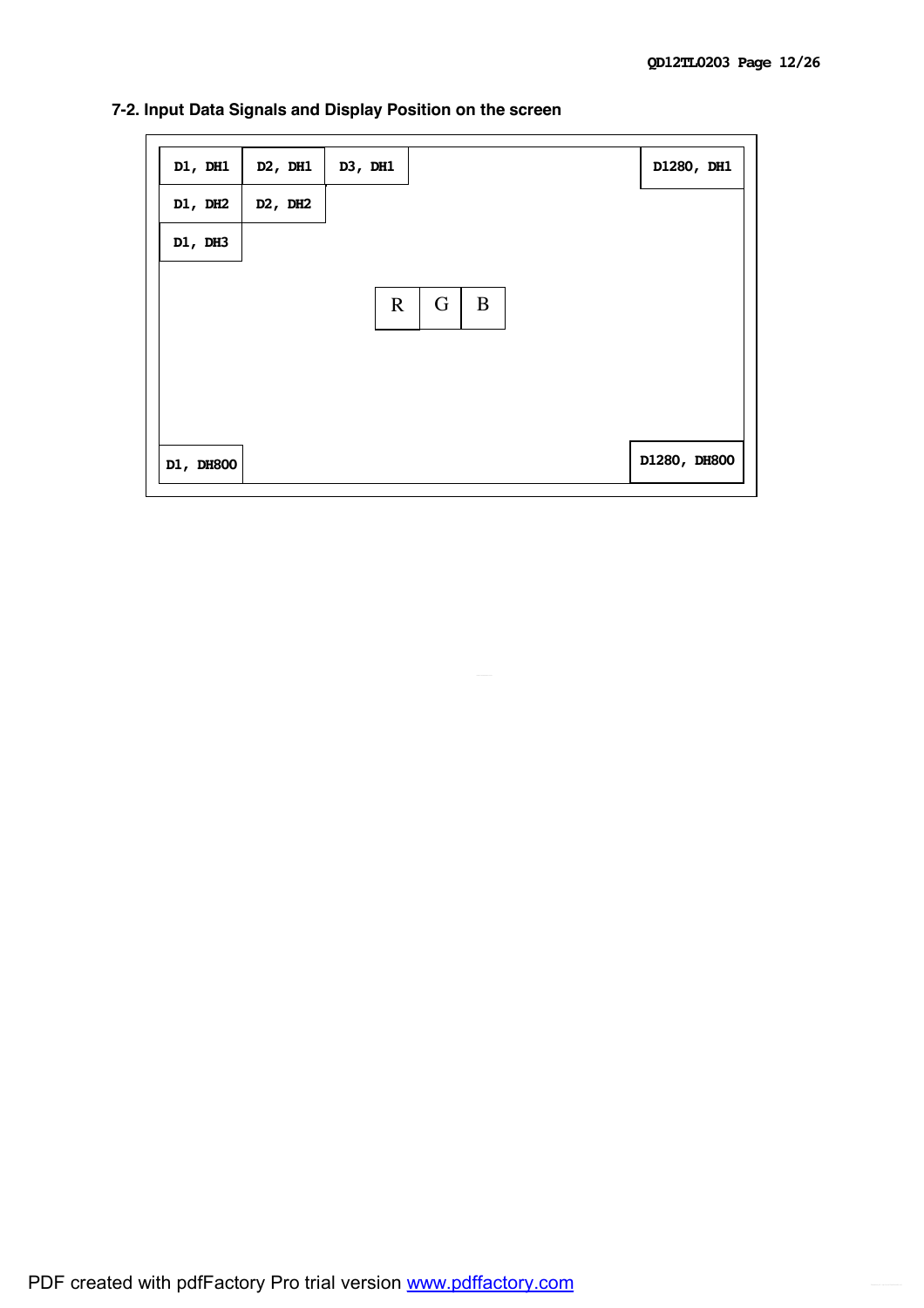

#### **7-2. Input Data Signals and Display Position on the screen**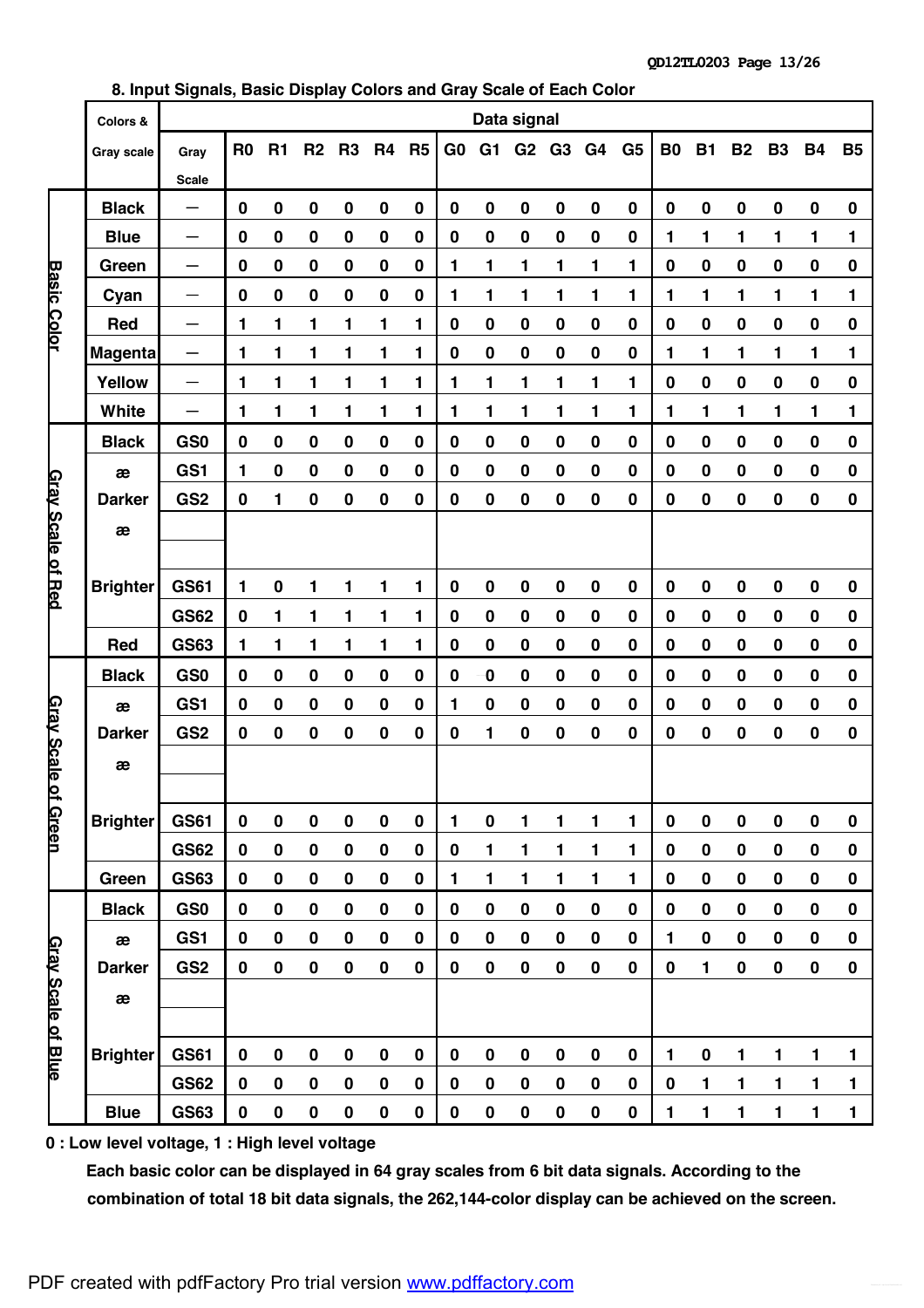|  |  |  |  |  |  |  |  |  | 8. Input Signals, Basic Display Colors and Gray Scale of Each Color |
|--|--|--|--|--|--|--|--|--|---------------------------------------------------------------------|
|--|--|--|--|--|--|--|--|--|---------------------------------------------------------------------|

|                          | Colors &          |                          |                |             |                |                  |                  |             |                  |             | Data signal      |                  |                |                  |                  |             |           |             |             |                  |
|--------------------------|-------------------|--------------------------|----------------|-------------|----------------|------------------|------------------|-------------|------------------|-------------|------------------|------------------|----------------|------------------|------------------|-------------|-----------|-------------|-------------|------------------|
|                          | <b>Gray scale</b> | Gray                     | R <sub>0</sub> | R1          | R <sub>2</sub> | R <sub>3</sub>   | R <sub>4</sub>   | <b>R5</b>   | G <sub>0</sub>   | G1          | G <sub>2</sub>   | G <sub>3</sub>   | G <sub>4</sub> | G <sub>5</sub>   | <b>B0</b>        | <b>B1</b>   | <b>B2</b> | <b>B3</b>   | <b>B4</b>   | <b>B5</b>        |
|                          |                   | <b>Scale</b>             |                |             |                |                  |                  |             |                  |             |                  |                  |                |                  |                  |             |           |             |             |                  |
|                          | <b>Black</b>      | $\overline{\phantom{0}}$ | $\bf{0}$       | $\bf{0}$    | $\mathbf 0$    | $\mathbf 0$      | $\bf{0}$         | $\mathbf 0$ | $\mathbf 0$      | $\pmb{0}$   | $\mathbf 0$      | $\bf{0}$         | $\bf{0}$       | $\pmb{0}$        | $\pmb{0}$        | $\bf{0}$    | $\bf{0}$  | $\pmb{0}$   | $\mathbf 0$ | $\pmb{0}$        |
|                          | <b>Blue</b>       |                          | $\mathbf 0$    | $\bf{0}$    | $\pmb{0}$      | 0                | $\bf{0}$         | $\bf{0}$    | $\mathbf 0$      | $\bf{0}$    | $\bf{0}$         | $\bf{0}$         | $\bf{0}$       | $\bf{0}$         | 1                | 1           | 1         | 1           | 1           | 1                |
|                          | Green             |                          | $\mathbf 0$    | $\mathbf 0$ | $\pmb{0}$      | $\pmb{0}$        | $\boldsymbol{0}$ | $\mathbf 0$ | 1                | 1           | 1                | 1                | 1              | 1                | $\bf{0}$         | $\bf{0}$    | $\bf{0}$  | $\pmb{0}$   | 0           | $\pmb{0}$        |
| <b>Basic Color</b>       | Cyan              |                          | $\mathbf 0$    | $\bf{0}$    | $\pmb{0}$      | $\pmb{0}$        | $\boldsymbol{0}$ | $\bf{0}$    | 1                | 1           | 1                | 1                | 1              | 1                | 1                | 1           | 1         | 1           | 1           | 1                |
|                          | <b>Red</b>        | —                        | 1              | 1           | 1              | 1                | 1                | 1           | $\bf{0}$         | $\pmb{0}$   | $\bf{0}$         | $\pmb{0}$        | $\bf{0}$       | $\bf{0}$         | $\pmb{0}$        | $\bf{0}$    | $\bf{0}$  | $\pmb{0}$   | $\bf{0}$    | $\pmb{0}$        |
|                          | <b>Magenta</b>    |                          | 1              | 1           | 1              | 1                | 1                | 1           | $\bf{0}$         | $\bf{0}$    | $\bf{0}$         | $\pmb{0}$        | $\bf{0}$       | $\bf{0}$         | 1                | 1           | 1         | 1           | 1           | 1                |
|                          | Yellow            |                          | 1              | 1           | 1              | 1                | 1                | 1           | 1                | 1           | 1                | 1                | 1              | 1                | 0                | $\bf{0}$    | $\bf{0}$  | $\mathbf 0$ | 0           | $\pmb{0}$        |
|                          | White             |                          | 1              | 1           | 1              | 1                | 1                | 1           | 1                | 1           | 1                | 1                | 1              | 1                | 1                | 1           | 1         | 1           | 1           | 1                |
|                          | <b>Black</b>      | GS <sub>0</sub>          | $\bf{0}$       | $\bf{0}$    | $\pmb{0}$      | 0                | $\boldsymbol{0}$ | $\bf{0}$    | $\pmb{0}$        | $\bf{0}$    | $\bf{0}$         | $\bf{0}$         | $\bf{0}$       | $\bf{0}$         | 0                | $\bf{0}$    | $\bf{0}$  | $\pmb{0}$   | $\bf{0}$    | $\pmb{0}$        |
|                          | æ                 | GS1                      | 1              | $\mathbf 0$ | $\pmb{0}$      | $\pmb{0}$        | $\boldsymbol{0}$ | $\bf{0}$    | $\pmb{0}$        | $\pmb{0}$   | $\pmb{0}$        | $\pmb{0}$        | $\bf{0}$       | $\pmb{0}$        | $\pmb{0}$        | $\bf{0}$    | $\bf{0}$  | $\pmb{0}$   | $\mathbf 0$ | $\pmb{0}$        |
|                          | <b>Darker</b>     | GS <sub>2</sub>          | $\bf{0}$       | 1           | $\pmb{0}$      | 0                | $\bf{0}$         | $\bf{0}$    | $\mathbf 0$      | 0           | $\mathbf 0$      | $\bf{0}$         | $\bf{0}$       | $\pmb{0}$        | $\pmb{0}$        | 0           | $\bf{0}$  | $\pmb{0}$   | $\mathbf 0$ | $\mathbf 0$      |
| <b>Gray Scale of Red</b> | æ                 |                          |                |             |                |                  |                  |             |                  |             |                  |                  |                |                  |                  |             |           |             |             |                  |
|                          |                   |                          |                |             |                |                  |                  |             |                  |             |                  |                  |                |                  |                  |             |           |             |             |                  |
|                          | <b>Brighter</b>   | <b>GS61</b>              | 1              | $\mathbf 0$ | 1              | 1                | 1                | 1           | $\bf{0}$         | 0           | $\bf{0}$         | 0                | 0              | $\bf{0}$         | $\bf{0}$         | $\bf{0}$    | $\bf{0}$  | $\bf{0}$    | $\bf{0}$    | $\boldsymbol{0}$ |
|                          |                   | <b>GS62</b>              | $\bf{0}$       | 1           | 1              | 1                | 1                | 1           | $\boldsymbol{0}$ | 0           | $\bf{0}$         | $\pmb{0}$        | $\bf{0}$       | $\pmb{0}$        | $\pmb{0}$        | $\bf{0}$    | $\bf{0}$  | 0           | 0           | 0                |
|                          | Red               | <b>GS63</b>              | 1              | 1           | 1              | 1                | 1                | 1           | $\mathbf 0$      | $\pmb{0}$   | $\mathbf 0$      | $\bf{0}$         | $\bf{0}$       | $\pmb{0}$        | $\pmb{0}$        | $\bf{0}$    | $\pmb{0}$ | $\pmb{0}$   | $\bf{0}$    | $\mathbf 0$      |
|                          | <b>Black</b>      | GS <sub>0</sub>          | $\bf{0}$       | $\mathbf 0$ | $\pmb{0}$      | $\bf{0}$         | $\boldsymbol{0}$ | $\bf{0}$    | $\pmb{0}$        | $\mathbf 0$ | $\bf{0}$         | $\pmb{0}$        | $\bf{0}$       | $\pmb{0}$        | $\pmb{0}$        | $\bf{0}$    | $\bf{0}$  | $\pmb{0}$   | 0           | $\pmb{0}$        |
|                          | æ                 | GS1                      | $\mathbf 0$    | $\bf{0}$    | $\pmb{0}$      | 0                | $\bf{0}$         | $\bf{0}$    | 1                | $\bf{0}$    | $\pmb{0}$        | $\bf{0}$         | $\bf{0}$       | $\pmb{0}$        | $\pmb{0}$        | $\bf{0}$    | $\bf{0}$  | $\pmb{0}$   | 0           | $\pmb{0}$        |
| Gray Scale o             | <b>Darker</b>     | GS <sub>2</sub>          | $\bf{0}$       | $\bf{0}$    | $\pmb{0}$      | $\bf{0}$         | $\bf{0}$         | 0           | 0                | 1           | $\mathbf 0$      | $\pmb{0}$        | $\bf{0}$       | $\boldsymbol{0}$ | 0                | $\mathbf 0$ | $\bf{0}$  | $\pmb{0}$   | $\bf{0}$    | $\pmb{0}$        |
|                          | æ                 |                          |                |             |                |                  |                  |             |                  |             |                  |                  |                |                  |                  |             |           |             |             |                  |
|                          |                   |                          |                |             |                |                  |                  |             |                  |             |                  |                  |                |                  |                  |             |           |             |             |                  |
| <u>f Green</u>           | <b>Brighter</b>   | <b>GS61</b>              | 0              | $\bf{0}$    | $\pmb{0}$      | 0                | $\bf{0}$         | $\bf{0}$    | 1                | $\bf{0}$    | 1                | 1                | 1              | 1                | $\boldsymbol{0}$ | $\bf{0}$    | $\pmb{0}$ | $\pmb{0}$   | 0           | 0                |
|                          |                   | <b>GS62</b>              | $\bf{0}$       | $\pmb{0}$   | $\pmb{0}$      | $\boldsymbol{0}$ | $\boldsymbol{0}$ | $\bf{0}$    | $\pmb{0}$        | 1           | 1                | 1                | 1              | $\blacksquare$   | $\bf{0}$         | $\pmb{0}$   | $\pmb{0}$ | $\pmb{0}$   | 0           | $\mathbf 0$      |
|                          | Green             | <b>GS63</b>              | $\mathbf 0$    | $\pmb{0}$   | $\pmb{0}$      | $\pmb{0}$        | $\boldsymbol{0}$ | $\bf{0}$    | 1                | 1           | 1                | 1                | 1              | 1                | $\pmb{0}$        | $\bf{0}$    | $\pmb{0}$ | $\pmb{0}$   | 0           | $\boldsymbol{0}$ |
|                          | <b>Black</b>      | GS <sub>0</sub>          | $\pmb{0}$      | $\pmb{0}$   | $\pmb{0}$      | $\pmb{0}$        | $\boldsymbol{0}$ | $\bf{0}$    | $\pmb{0}$        | $\pmb{0}$   | $\pmb{0}$        | $\boldsymbol{0}$ | $\pmb{0}$      | $\pmb{0}$        | $\pmb{0}$        | $\pmb{0}$   | $\pmb{0}$ | $\pmb{0}$   | $\pmb{0}$   | $\pmb{0}$        |
|                          | æ                 | GS1                      | $\mathbf 0$    | $\pmb{0}$   | $\pmb{0}$      | $\pmb{0}$        | $\pmb{0}$        | $\bf{0}$    | $\pmb{0}$        | $\pmb{0}$   | $\pmb{0}$        | $\pmb{0}$        | $\pmb{0}$      | $\pmb{0}$        | 1                | $\mathbf 0$ | $\pmb{0}$ | $\pmb{0}$   | $\pmb{0}$   | $\pmb{0}$        |
|                          | <b>Darker</b>     | GS <sub>2</sub>          | $\mathbf 0$    | $\pmb{0}$   | $\pmb{0}$      | $\pmb{0}$        | $\boldsymbol{0}$ | $\bf{0}$    | $\pmb{0}$        | $\pmb{0}$   | $\pmb{0}$        | $\boldsymbol{0}$ | $\pmb{0}$      | $\pmb{0}$        | $\pmb{0}$        | 1           | $\pmb{0}$ | $\pmb{0}$   | $\pmb{0}$   | $\pmb{0}$        |
|                          | æ                 |                          |                |             |                |                  |                  |             |                  |             |                  |                  |                |                  |                  |             |           |             |             |                  |
|                          |                   |                          |                |             |                |                  |                  |             |                  |             |                  |                  |                |                  |                  |             |           |             |             |                  |
| Gray Scale of Blue       | <b>Brighter</b>   | <b>GS61</b>              | $\bf{0}$       | $\pmb{0}$   | $\pmb{0}$      | $\pmb{0}$        | $\boldsymbol{0}$ | $\bf{0}$    | $\pmb{0}$        | $\pmb{0}$   | $\pmb{0}$        | $\pmb{0}$        | $\pmb{0}$      | $\pmb{0}$        | 1                | $\bf{0}$    | 1         | 1           | 1           | 1                |
|                          |                   | <b>GS62</b>              | $\mathbf 0$    | $\pmb{0}$   | $\pmb{0}$      | $\mathbf 0$      | $\boldsymbol{0}$ | $\bf{0}$    | $\pmb{0}$        | $\pmb{0}$   | $\boldsymbol{0}$ | $\pmb{0}$        | $\pmb{0}$      | $\pmb{0}$        | $\pmb{0}$        | 1           | 1         | 1           | 1           | $\mathbf{1}$     |
|                          | <b>Blue</b>       | <b>GS63</b>              | $\bf{0}$       | $\mathbf 0$ | $\pmb{0}$      | $\pmb{0}$        | $\boldsymbol{0}$ | $\pmb{0}$   | $\pmb{0}$        | $\pmb{0}$   | $\pmb{0}$        | $\boldsymbol{0}$ | $\pmb{0}$      | $\pmb{0}$        | 1                | 1           | 1         | 1           | 1           | 1                |

**0 : Low level voltage, 1 : High level voltage** 

**Each basic color can be displayed in 64 gray scales from 6 bit data signals. According to the combination of total 18 bit data signals, the 262,144-color display can be achieved on the screen.**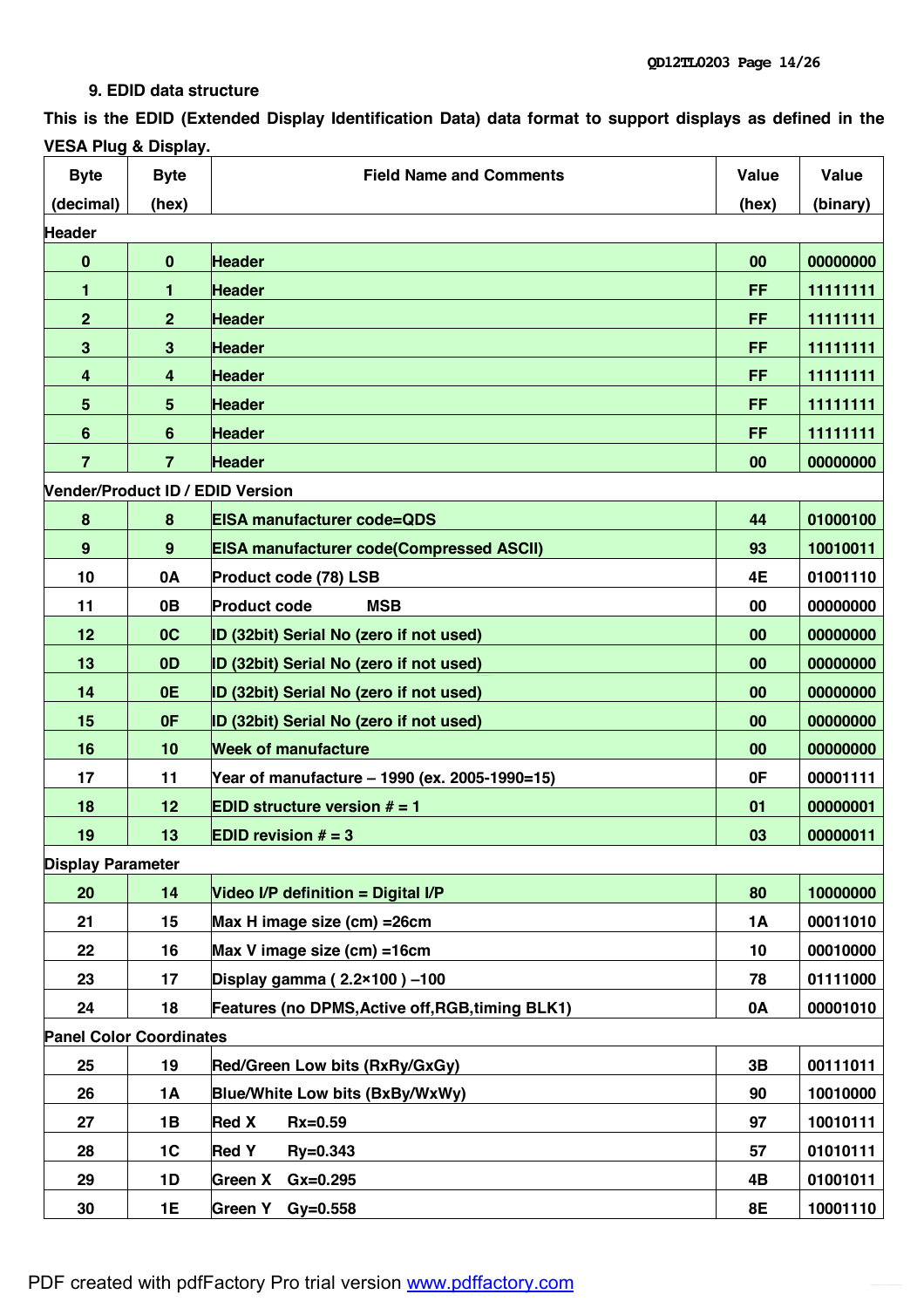# **9. EDID data structure**

This is the EDID (Extended Display Identification Data) data format to support displays as defined in the **VESA Plug & Display.** 

| <b>Byte</b>                      | <b>Byte</b>    | <b>Field Name and Comments</b>                          | Value          | Value    |  |  |
|----------------------------------|----------------|---------------------------------------------------------|----------------|----------|--|--|
| (decimal)                        | (hex)          |                                                         | (hex)          | (binary) |  |  |
| <b>Header</b>                    |                |                                                         |                |          |  |  |
| $\bf{0}$                         | $\bf{0}$       | <b>Header</b>                                           | 00             | 00000000 |  |  |
| 1                                | 1              | Header                                                  | FF             | 11111111 |  |  |
| $\mathbf{2}$                     | $\mathbf{2}$   | <b>Header</b>                                           | FF             | 11111111 |  |  |
| $\mathbf{3}$                     | $\mathbf{3}$   | <b>Header</b>                                           | FF             | 11111111 |  |  |
| 4                                | 4              | <b>Header</b>                                           | <b>FF</b>      | 11111111 |  |  |
| 5                                | 5              | <b>Header</b>                                           | <b>FF</b>      | 11111111 |  |  |
| $6\phantom{1}$                   | 6              | <b>Header</b>                                           | <b>FF</b>      | 11111111 |  |  |
| $\overline{7}$                   | $\overline{7}$ | <b>Header</b>                                           | 00             | 00000000 |  |  |
| Vender/Product ID / EDID Version |                |                                                         |                |          |  |  |
| 8                                | 8              | <b>EISA manufacturer code=QDS</b>                       | 44             | 01000100 |  |  |
| $\boldsymbol{9}$                 | 9              | <b>EISA manufacturer code (Compressed ASCII)</b>        | 93             | 10010011 |  |  |
| 10                               | 0A             | Product code (78) LSB                                   | 4E             | 01001110 |  |  |
| 11                               | 0B             | <b>MSB</b><br><b>Product code</b>                       | 00             | 00000000 |  |  |
| 12                               | 0 <sup>C</sup> | ID (32bit) Serial No (zero if not used)                 | 00             | 00000000 |  |  |
| 13                               | 0D             | ID (32bit) Serial No (zero if not used)                 | 00             | 00000000 |  |  |
| 14                               | 0E             | ID (32bit) Serial No (zero if not used)                 | 00             | 00000000 |  |  |
| 15                               | 0F             | ID (32bit) Serial No (zero if not used)                 | 00             | 00000000 |  |  |
| 16                               | 10             | <b>Week of manufacture</b>                              | 00             | 00000000 |  |  |
| 17                               | 11             | Year of manufacture - 1990 (ex. 2005-1990=15)           | 0F             | 00001111 |  |  |
| 18                               | 12             | <b>EDID structure version <math># = 1</math></b>        | 01             | 00000001 |  |  |
| 19                               | 13             | <b>EDID revision <math># = 3</math></b>                 | 03             | 00000011 |  |  |
| <b>Display Parameter</b>         |                |                                                         |                |          |  |  |
| 20                               | 14             | Video I/P definition = Digital I/P                      | 80             | 10000000 |  |  |
| 21                               | 15             | Max H image size (cm) = 26cm                            | <b>1A</b>      | 00011010 |  |  |
| 22                               | 16             | Max V image size (cm) =16cm                             | 10             | 00010000 |  |  |
| 23                               | 17             | Display gamma ( $2.2 \times 100$ ) -100                 | 01111000<br>78 |          |  |  |
| 24                               | 18             | <b>Features (no DPMS, Active off, RGB, timing BLK1)</b> | 0A             | 00001010 |  |  |
| <b>Panel Color Coordinates</b>   |                |                                                         |                |          |  |  |
| 25                               | 19             | Red/Green Low bits (RxRy/GxGy)                          | 3B             | 00111011 |  |  |
| 26                               | <b>1A</b>      | Blue/White Low bits (BxBy/WxWy)                         | 90             | 10010000 |  |  |
| 27                               | 1B             | 97<br><b>Red X</b><br>$Rx=0.59$<br>10010111             |                |          |  |  |
| 28                               | 1C             | <b>Red Y</b><br>$Ry = 0.343$                            | 57             | 01010111 |  |  |
| 29                               | 1D             | Green X Gx=0.295                                        | 4B             | 01001011 |  |  |
| 30                               | 1E             | Green Y Gy=0.558<br><b>8E</b><br>10001110               |                |          |  |  |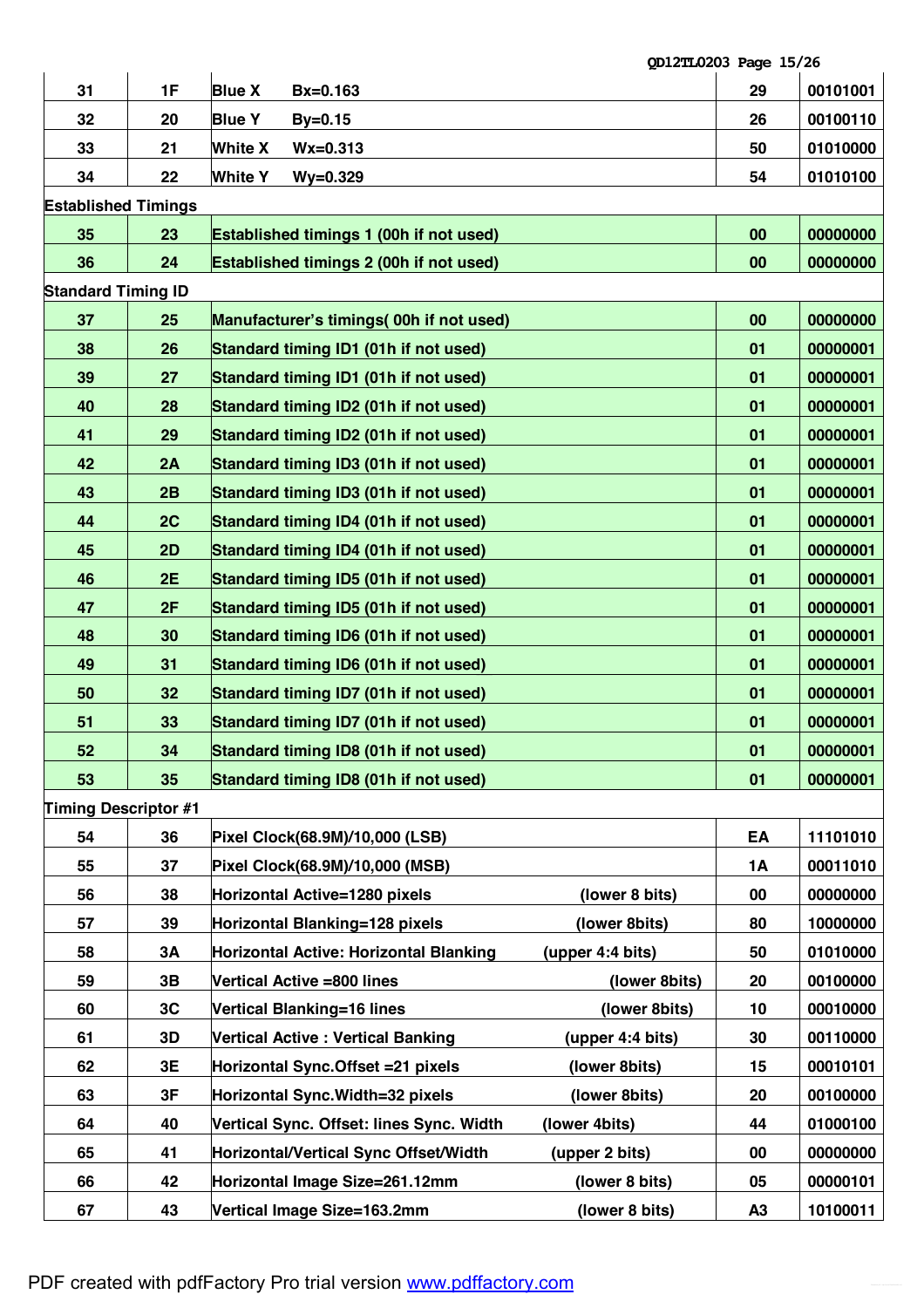**QD12TL0203 Page 15/26** 

| 31                         | 1F | <b>Blue X</b><br>Bx=0.163                |                  | 29 | 00101001 |
|----------------------------|----|------------------------------------------|------------------|----|----------|
| 32                         | 20 | <b>Blue Y</b><br>$By=0.15$               |                  | 26 | 00100110 |
| 33                         | 21 | <b>White X</b><br>$Wx = 0.313$           |                  | 50 | 01010000 |
| 34                         | 22 | <b>White Y</b><br>Wy=0.329               |                  | 54 | 01010100 |
| <b>Established Timings</b> |    |                                          |                  |    |          |
| 35                         | 23 | Established timings 1 (00h if not used)  |                  | 00 | 00000000 |
| 36                         | 24 | Established timings 2 (00h if not used)  |                  | 00 | 00000000 |
| <b>Standard Timing ID</b>  |    |                                          |                  |    |          |
| 37                         | 25 | Manufacturer's timings(00h if not used)  |                  | 00 | 00000000 |
| 38                         | 26 | Standard timing ID1 (01h if not used)    |                  | 01 | 00000001 |
| 39                         | 27 | Standard timing ID1 (01h if not used)    |                  | 01 | 00000001 |
| 40                         | 28 | Standard timing ID2 (01h if not used)    |                  | 01 | 00000001 |
| 41                         | 29 | Standard timing ID2 (01h if not used)    |                  | 01 | 00000001 |
| 42                         | 2A | Standard timing ID3 (01h if not used)    |                  | 01 | 00000001 |
| 43                         | 2B | Standard timing ID3 (01h if not used)    |                  | 01 | 00000001 |
| 44                         | 2C | Standard timing ID4 (01h if not used)    |                  | 01 | 00000001 |
| 45                         | 2D | Standard timing ID4 (01h if not used)    |                  | 01 | 00000001 |
| 46                         | 2E | Standard timing ID5 (01h if not used)    |                  | 01 | 00000001 |
| 47                         | 2F | Standard timing ID5 (01h if not used)    |                  | 01 | 00000001 |
| 48                         | 30 | Standard timing ID6 (01h if not used)    |                  | 01 | 00000001 |
| 49                         | 31 | Standard timing ID6 (01h if not used)    |                  | 01 | 00000001 |
| 50                         | 32 | Standard timing ID7 (01h if not used)    |                  | 01 | 00000001 |
| 51                         | 33 | Standard timing ID7 (01h if not used)    |                  | 01 | 00000001 |
| 52                         | 34 | Standard timing ID8 (01h if not used)    |                  | 01 | 00000001 |
| 53                         | 35 | Standard timing ID8 (01h if not used)    |                  | 01 | 00000001 |
| Timing Descriptor #1       |    |                                          |                  |    |          |
| 54                         | 36 | Pixel Clock(68.9M)/10,000 (LSB)          |                  | EA | 11101010 |
| 55                         | 37 | Pixel Clock(68.9M)/10,000 (MSB)          |                  | 1A | 00011010 |
| 56                         | 38 | Horizontal Active=1280 pixels            | (lower 8 bits)   | 00 | 00000000 |
| 57                         | 39 | Horizontal Blanking=128 pixels           | (lower 8bits)    | 80 | 10000000 |
| 58                         | 3A | Horizontal Active: Horizontal Blanking   | (upper 4:4 bits) | 50 | 01010000 |
| 59                         | 3B | Vertical Active =800 lines               | (lower 8bits)    | 20 | 00100000 |
| 60                         | 3C | Vertical Blanking=16 lines               | (lower 8bits)    | 10 | 00010000 |
| 61                         | 3D | <b>Vertical Active: Vertical Banking</b> | (upper 4:4 bits) | 30 | 00110000 |
| 62                         | 3E | Horizontal Sync.Offset =21 pixels        | (lower 8bits)    | 15 | 00010101 |
| 63                         | 3F | Horizontal Sync. Width=32 pixels         | (lower 8bits)    | 20 | 00100000 |
| 64                         | 40 | Vertical Sync. Offset: lines Sync. Width | (lower 4bits)    | 44 | 01000100 |
| 65                         | 41 | Horizontal/Vertical Sync Offset/Width    | (upper 2 bits)   | 00 | 00000000 |
| 66                         | 42 | Horizontal Image Size=261.12mm           | (lower 8 bits)   | 05 | 00000101 |
| 67                         | 43 | Vertical Image Size=163.2mm              | (lower 8 bits)   | A3 | 10100011 |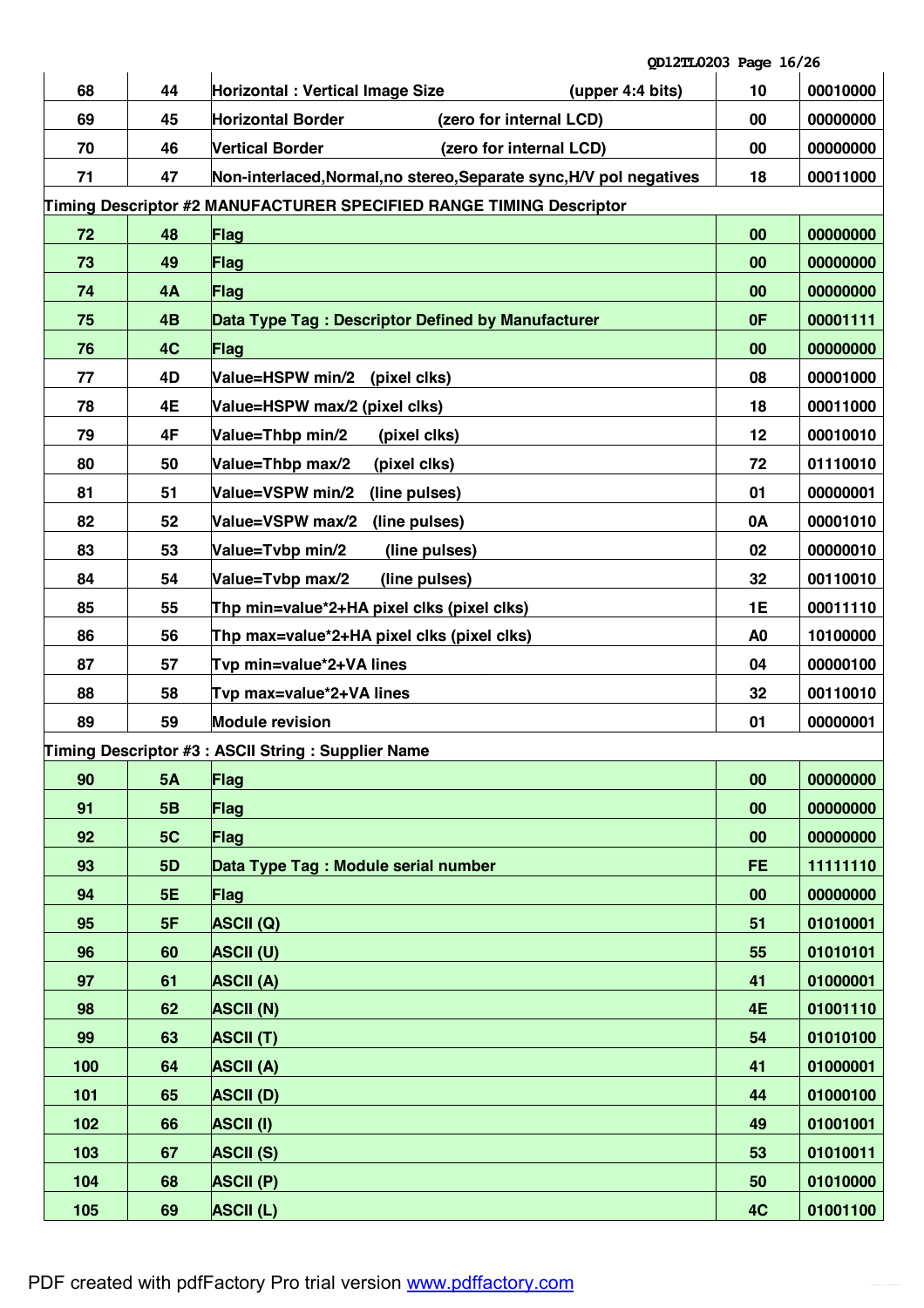**QD12TL0203 Page 16/26** 

| 68  | 44        | Horizontal: Vertical Image Size<br>(upper 4:4 bits)                 | 10             | 00010000 |
|-----|-----------|---------------------------------------------------------------------|----------------|----------|
| 69  | 45        | <b>Horizontal Border</b><br>(zero for internal LCD)                 | 00             | 00000000 |
| 70  | 46        | <b>Vertical Border</b><br>(zero for internal LCD)                   | 00             | 00000000 |
| 71  | 47        | Non-interlaced, Normal, no stereo, Separate sync, H/V pol negatives | 18             | 00011000 |
|     |           | Timing Descriptor #2 MANUFACTURER SPECIFIED RANGE TIMING Descriptor |                |          |
| 72  | 48        | Flag                                                                | 00             | 00000000 |
| 73  | 49        | Flag                                                                | 00             | 00000000 |
| 74  | 4A        | Flag                                                                | 00             | 00000000 |
| 75  | 4B        | Data Type Tag: Descriptor Defined by Manufacturer                   | 0F             | 00001111 |
| 76  | 4C        | Flag                                                                | 00             | 00000000 |
| 77  | 4D        | Value=HSPW min/2 (pixel clks)                                       | 08             | 00001000 |
| 78  | 4E        | Value=HSPW max/2 (pixel clks)                                       | 18             | 00011000 |
| 79  | 4F        | Value=Thbp min/2<br>(pixel clks)                                    | 12             | 00010010 |
| 80  | 50        | Value=Thbp max/2<br>(pixel clks)                                    | 72             | 01110010 |
| 81  | 51        | Value=VSPW min/2<br>(line pulses)                                   | 01             | 00000001 |
| 82  | 52        | Value=VSPW max/2<br>(line pulses)                                   | 0A             | 00001010 |
| 83  | 53        | Value=Tvbp min/2<br>(line pulses)                                   | 02             | 00000010 |
| 84  | 54        | Value=Tvbp max/2<br>(line pulses)                                   | 32             | 00110010 |
| 85  | 55        | Thp min=value*2+HA pixel clks (pixel clks)                          | 1E             | 00011110 |
| 86  | 56        | Thp max=value*2+HA pixel clks (pixel clks)                          | A <sub>0</sub> | 10100000 |
| 87  | 57        | Tvp min=value*2+VA lines                                            | 04             | 00000100 |
| 88  | 58        | Tvp max=value*2+VA lines                                            | 32             | 00110010 |
| 89  | 59        | <b>Module revision</b>                                              | 01             | 00000001 |
|     |           | Timing Descriptor #3 : ASCII String : Supplier Name                 |                |          |
| 90  | <b>5A</b> | Flag                                                                | 00             | 00000000 |
| 91  | 5B        | Flag                                                                | 00             | 00000000 |
| 92  | 5C        | Flag                                                                | 00             | 00000000 |
| 93  | <b>5D</b> | Data Type Tag: Module serial number                                 | <b>FE</b>      | 11111110 |
| 94  | <b>5E</b> | Flag                                                                | 00             | 00000000 |
| 95  | 5F        | <b>ASCII (Q)</b>                                                    | 51             | 01010001 |
| 96  | 60        | <b>ASCII (U)</b>                                                    | 55             | 01010101 |
| 97  | 61        | <b>ASCII (A)</b>                                                    | 41             | 01000001 |
| 98  | 62        | <b>ASCII (N)</b>                                                    | 4E             | 01001110 |
| 99  | 63        | <b>ASCII (T)</b>                                                    | 54             | 01010100 |
| 100 | 64        | <b>ASCII (A)</b>                                                    | 41             | 01000001 |
| 101 | 65        | <b>ASCII (D)</b>                                                    | 44             | 01000100 |
| 102 | 66        | <b>ASCII (I)</b>                                                    | 49             | 01001001 |
| 103 | 67        | <b>ASCII (S)</b>                                                    | 53             | 01010011 |
| 104 | 68        | <b>ASCII (P)</b>                                                    | 50             | 01010000 |
| 105 | 69        | <b>ASCII (L)</b>                                                    | 4C             | 01001100 |
|     |           |                                                                     |                |          |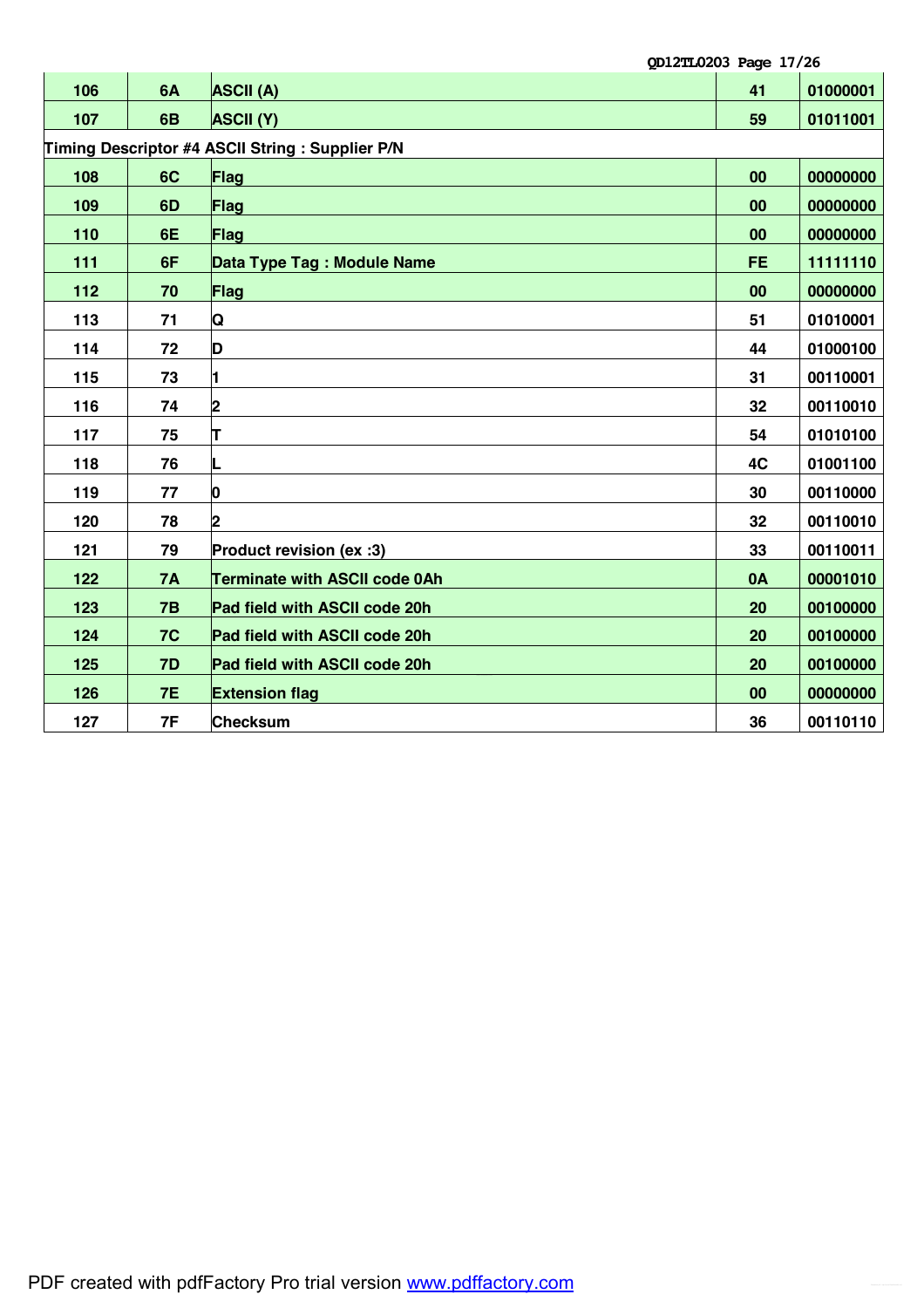|                                                  |           |                                      | QD12TL0203 Page 17/26 |          |  |  |  |  |
|--------------------------------------------------|-----------|--------------------------------------|-----------------------|----------|--|--|--|--|
| 106                                              | 6A        | <b>ASCII (A)</b>                     | 41                    | 01000001 |  |  |  |  |
| 107                                              | 6B        | <b>ASCII (Y)</b>                     | 59                    | 01011001 |  |  |  |  |
| Timing Descriptor #4 ASCII String : Supplier P/N |           |                                      |                       |          |  |  |  |  |
| 108                                              | 6C        | Flag                                 | 00                    | 00000000 |  |  |  |  |
| 109                                              | 6D        | Flag                                 | 00                    | 00000000 |  |  |  |  |
| 110                                              | 6E        | <b>Flag</b>                          | 00                    | 00000000 |  |  |  |  |
| 111                                              | 6F        | Data Type Tag: Module Name           | <b>FE</b>             | 11111110 |  |  |  |  |
| 112                                              | 70        | <b>Flag</b>                          | 00                    | 00000000 |  |  |  |  |
| 113                                              | 71        | Q                                    | 51                    | 01010001 |  |  |  |  |
| 114                                              | 72        | D                                    | 44                    | 01000100 |  |  |  |  |
| 115                                              | 73        |                                      | 31                    | 00110001 |  |  |  |  |
| 116                                              | 74        | 2                                    | 32                    | 00110010 |  |  |  |  |
| 117                                              | 75        | т                                    | 54                    | 01010100 |  |  |  |  |
| 118                                              | 76        |                                      | 4C                    | 01001100 |  |  |  |  |
| 119                                              | 77        | 0                                    | 30                    | 00110000 |  |  |  |  |
| 120                                              | 78        | 2                                    | 32                    | 00110010 |  |  |  |  |
| 121                                              | 79        | Product revision (ex :3)             | 33                    | 00110011 |  |  |  |  |
| 122                                              | <b>7A</b> | <b>Terminate with ASCII code 0Ah</b> | 0A                    | 00001010 |  |  |  |  |
| 123                                              | 7B        | Pad field with ASCII code 20h        | 20                    | 00100000 |  |  |  |  |
| 124                                              | 7C        | Pad field with ASCII code 20h        | 20                    | 00100000 |  |  |  |  |
| 125                                              | 7D        | Pad field with ASCII code 20h        | 20                    | 00100000 |  |  |  |  |
| 126                                              | 7E        | <b>Extension flag</b>                | 00                    | 00000000 |  |  |  |  |
| 127                                              | 7F        | <b>Checksum</b>                      | 36                    | 00110110 |  |  |  |  |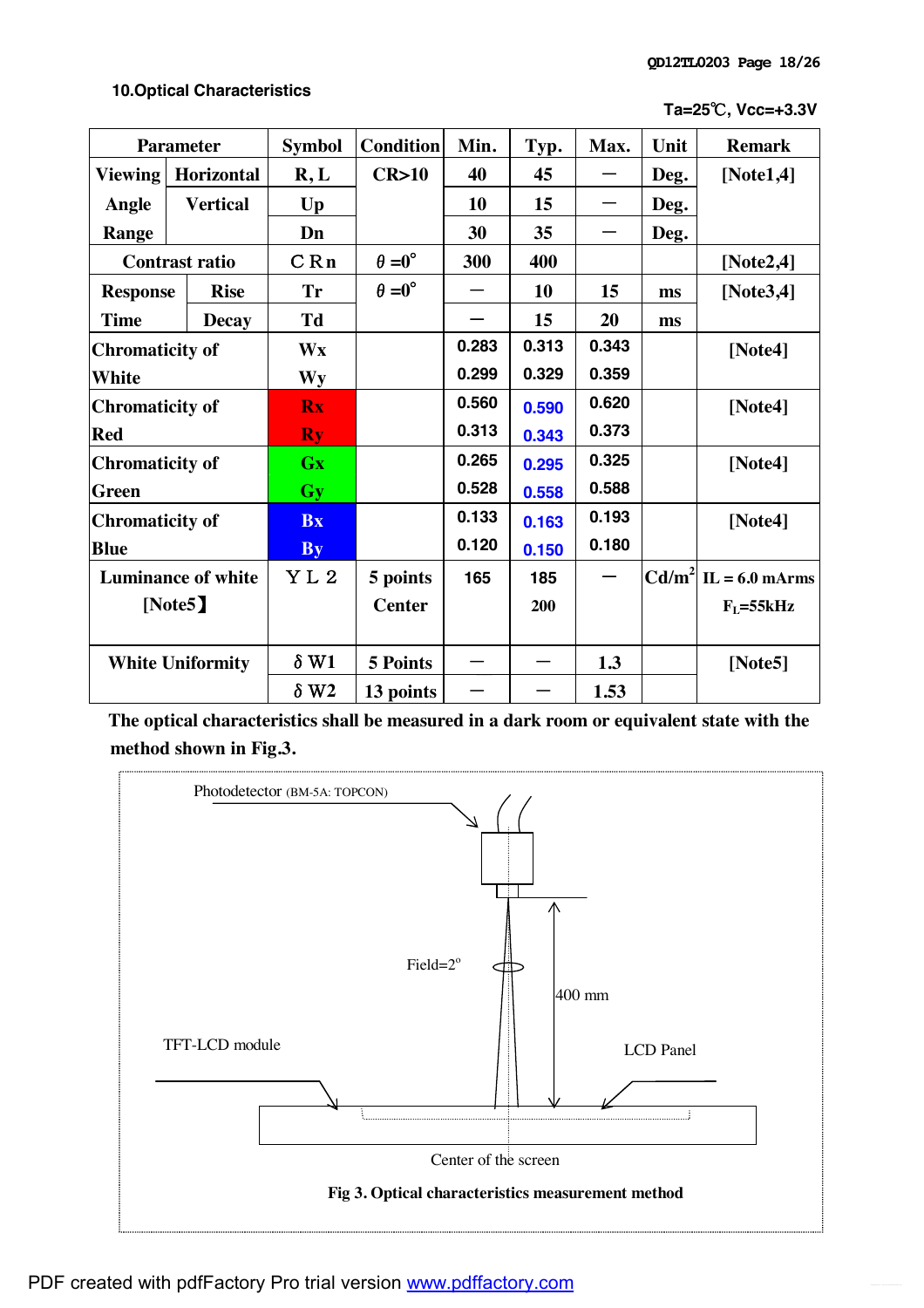# **10.Optical Characteristics**

**Ta=25**℃**, Vcc=+3.3V**

|                           | <b>Parameter</b>        | <b>Symbol</b> | <b>Condition</b>     | Min.  | Typ.  | Max.  | Unit | <b>Remark</b>                  |
|---------------------------|-------------------------|---------------|----------------------|-------|-------|-------|------|--------------------------------|
| <b>Viewing</b>            | Horizontal              | R, L          | CR>10                | 40    | 45    |       | Deg. | [Note $1,4$ ]                  |
| Angle                     | <b>Vertical</b>         | Up            |                      | 10    | 15    |       | Deg. |                                |
| Range                     |                         | Dn            |                      | 30    | 35    |       | Deg. |                                |
|                           | <b>Contrast ratio</b>   | C Rn          | $\theta = 0^{\circ}$ | 300   | 400   |       |      | [Note $2,4$ ]                  |
| <b>Response</b>           | <b>Rise</b>             | <b>Tr</b>     | $\theta = 0^{\circ}$ |       | 10    | 15    | ms   | [Note $3,4$ ]                  |
| <b>Time</b>               | Decay                   | Td            |                      |       | 15    | 20    | ms   |                                |
| <b>Chromaticity of</b>    |                         | Wx            |                      | 0.283 | 0.313 | 0.343 |      | [Note4]                        |
| <b>White</b>              |                         | <b>Wy</b>     |                      | 0.299 | 0.329 | 0.359 |      |                                |
| <b>Chromaticity of</b>    |                         | <b>Rx</b>     |                      | 0.560 | 0.590 | 0.620 |      | [Note4]                        |
| <b>Red</b>                |                         | <b>Ry</b>     |                      | 0.313 | 0.343 | 0.373 |      |                                |
| <b>Chromaticity of</b>    |                         | <b>Gx</b>     |                      | 0.265 | 0.295 | 0.325 |      | [Note4]                        |
| <b>Green</b>              |                         | <b>Gy</b>     |                      | 0.528 | 0.558 | 0.588 |      |                                |
| <b>Chromaticity of</b>    |                         | <b>Bx</b>     |                      | 0.133 | 0.163 | 0.193 |      | [Note4]                        |
| <b>Blue</b>               |                         | <b>By</b>     |                      | 0.120 | 0.150 | 0.180 |      |                                |
| <b>Luminance of white</b> |                         | YL2           | 5 points             | 165   | 185   |       |      | $\text{Cd/m}^2$ IL = 6.0 mArms |
| [Note5]                   |                         |               | <b>Center</b>        |       | 200   |       |      | $F_L = 55kHz$                  |
|                           |                         |               |                      |       |       |       |      |                                |
|                           | <b>White Uniformity</b> | $\delta$ W1   | 5 Points             |       |       | 1.3   |      | [Note5]                        |
|                           |                         | $\delta$ W2   | 13 points            |       |       | 1.53  |      |                                |

**The optical characteristics shall be measured in a dark room or equivalent state with the method shown in Fig.3.** 

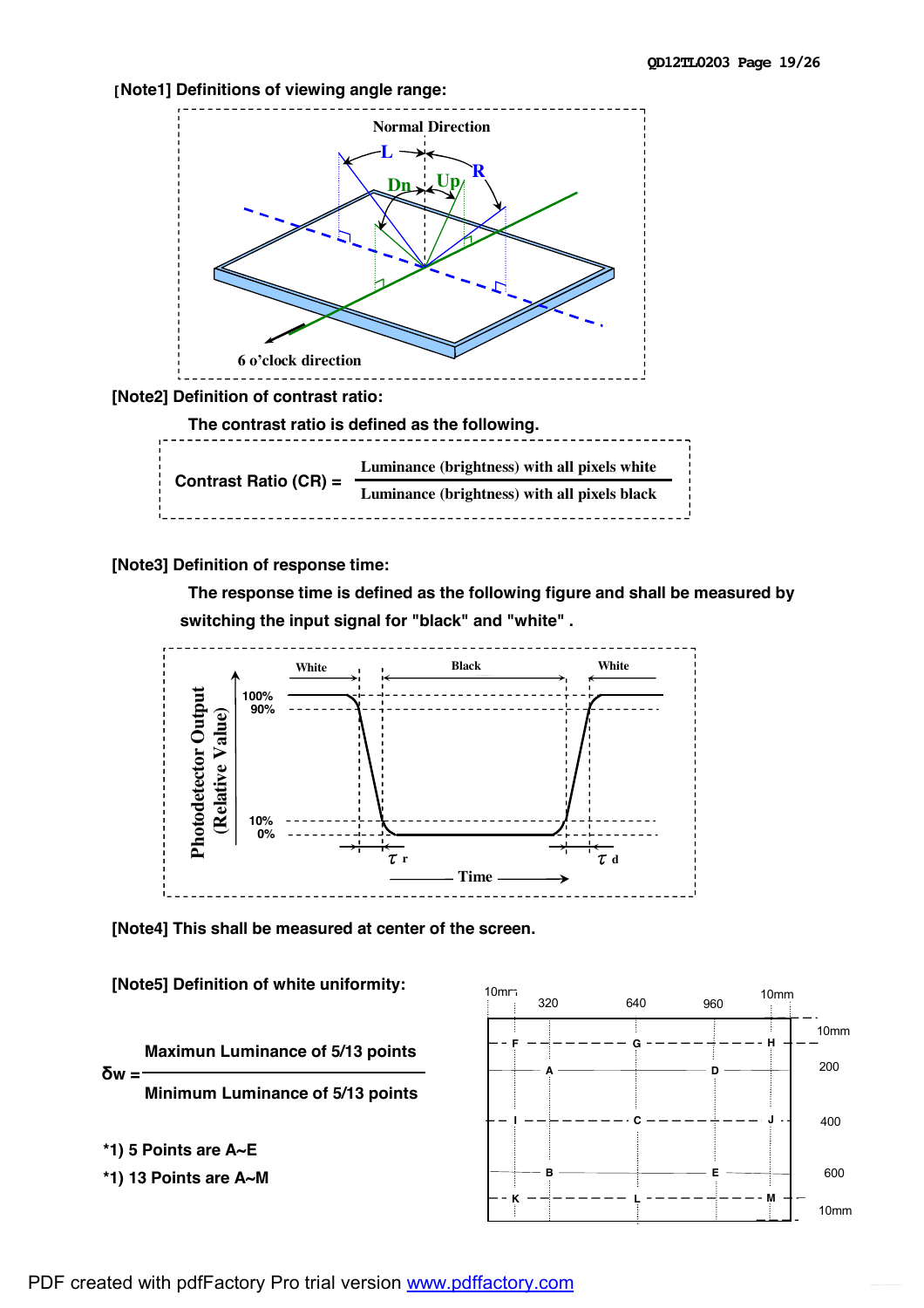

# **[Note3] Definition of response time:**

 **The response time is defined as the following figure and shall be measured by switching the input signal for "black" and "white" .** 



**[Note4] This shall be measured at center of the screen.** 

**[Note5] Definition of white uniformity:** 

 **Maximun Luminance of 5/13 points δw = Minimum Luminance of 5/13 points** 

**\*1) 5 Points are A~E** 

**\*1) 13 Points are A~M** 

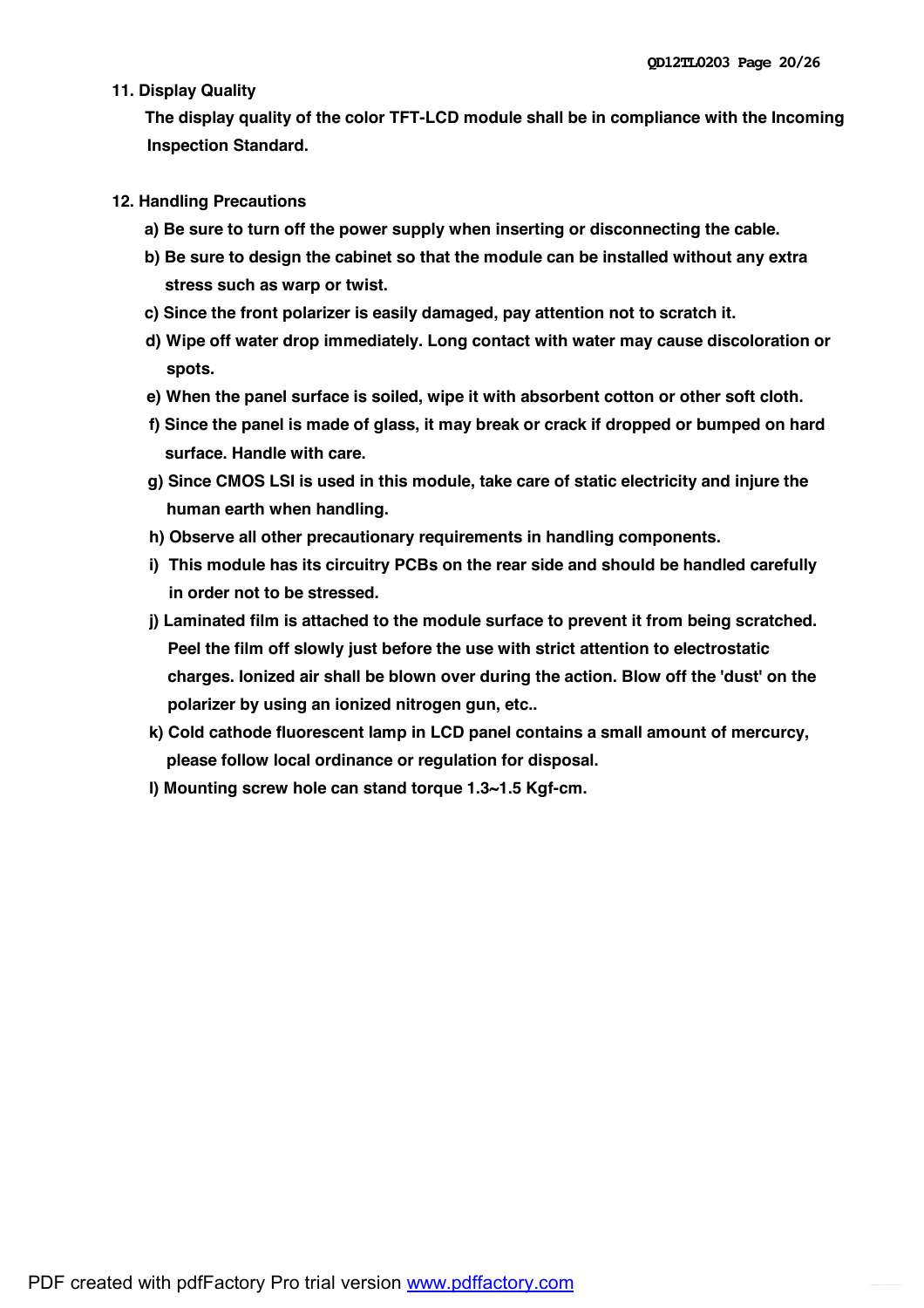**11. Display Quality** 

**The display quality of the color TFT-LCD module shall be in compliance with the Incoming Inspection Standard.** 

#### **12. Handling Precautions**

- **a) Be sure to turn off the power supply when inserting or disconnecting the cable.**
- **b) Be sure to design the cabinet so that the module can be installed without any extra stress such as warp or twist.**
- **c) Since the front polarizer is easily damaged, pay attention not to scratch it.**
- **d) Wipe off water drop immediately. Long contact with water may cause discoloration or spots.**
- **e) When the panel surface is soiled, wipe it with absorbent cotton or other soft cloth.**
- **f) Since the panel is made of glass, it may break or crack if dropped or bumped on hard surface. Handle with care.**
- **g) Since CMOS LSI is used in this module, take care of static electricity and injure the human earth when handling.**
- **h) Observe all other precautionary requirements in handling components.**
- **i) This module has its circuitry PCBs on the rear side and should be handled carefully in order not to be stressed.**
- **j) Laminated film is attached to the module surface to prevent it from being scratched. Peel the film off slowly just before the use with strict attention to electrostatic charges. Ionized air shall be blown over during the action. Blow off the 'dust' on the**  www.DataSheet.co.kr **polarizer by using an ionized nitrogen gun, etc..**
- **k) Cold cathode fluorescent lamp in LCD panel contains a small amount of mercurcy, please follow local ordinance or regulation for disposal.**
- **l) Mounting screw hole can stand torque 1.3~1.5 Kgf-cm.**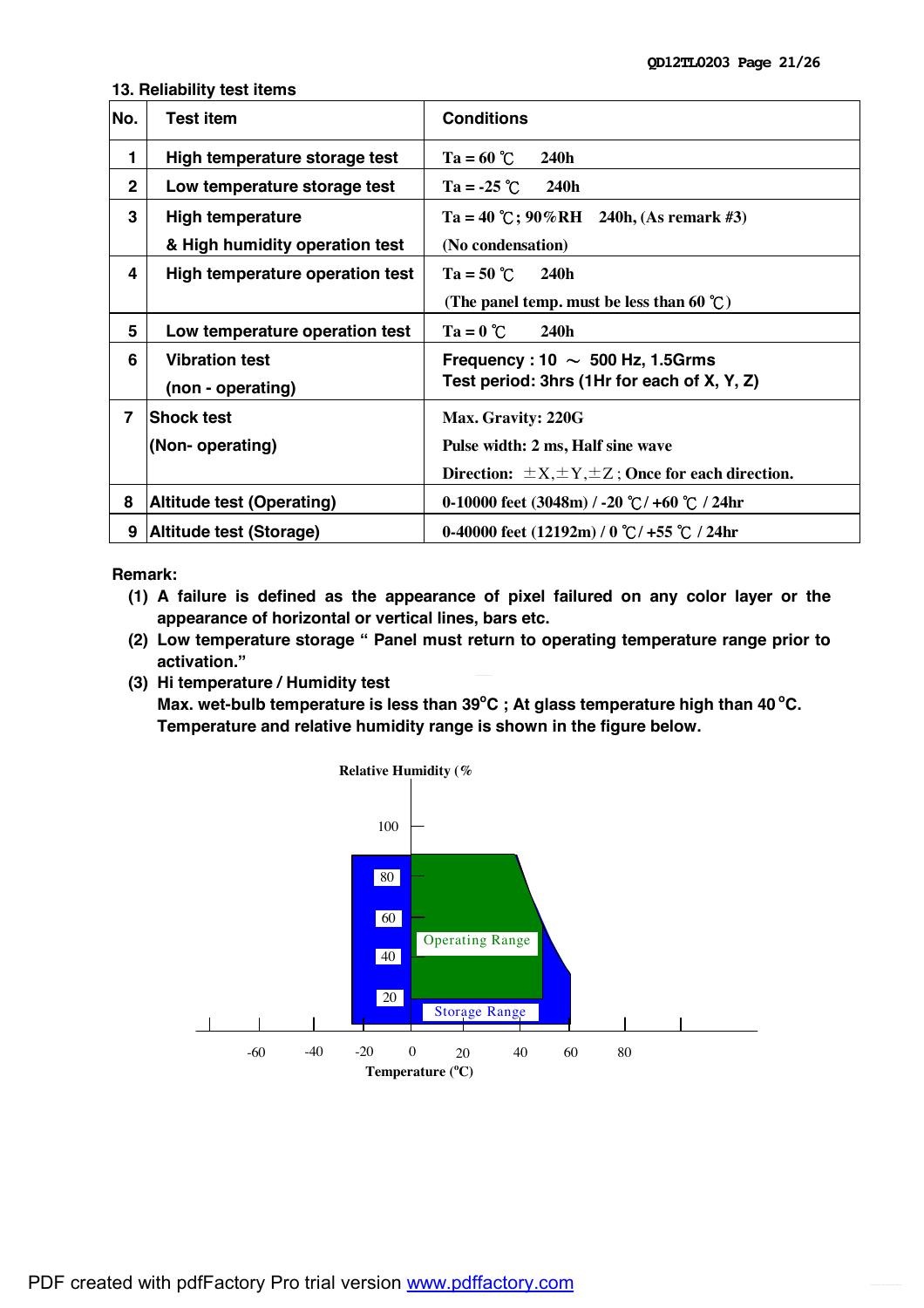| No.                     | <b>Test item</b>                 | <b>Conditions</b>                                           |
|-------------------------|----------------------------------|-------------------------------------------------------------|
| 1                       | High temperature storage test    | $Ta = 60 °C$<br>240h                                        |
| $\mathbf 2$             | Low temperature storage test     | $Ta = -25$ °C<br>240h                                       |
| 3                       | <b>High temperature</b>          | Ta = 40 °C; 90%RH 240h, (As remark #3)                      |
|                         | & High humidity operation test   | (No condensation)                                           |
| 4                       | High temperature operation test  | $Ta = 50 °C$<br>240h                                        |
|                         |                                  | (The panel temp. must be less than 60 $^{\circ}\text{C}$ )  |
| 5                       | Low temperature operation test   | $Ta = 0$ °C<br>240h                                         |
| 6                       | <b>Vibration test</b>            | Frequency : 10 $\sim$ 500 Hz, 1.5Grms                       |
|                         | (non - operating)                | Test period: 3hrs (1Hr for each of X, Y, Z)                 |
| $\overline{\mathbf{r}}$ | <b>Shock test</b>                | Max. Gravity: 220G                                          |
|                         | (Non-operating)                  | Pulse width: 2 ms, Half sine wave                           |
|                         |                                  | Direction: $\pm X, \pm Y, \pm Z$ ; Once for each direction. |
| 8                       | <b>Altitude test (Operating)</b> | 0-10000 feet (3048m) / -20 ℃/ +60 ℃ / 24hr                  |
| 9                       | Altitude test (Storage)          | 0-40000 feet (12192m) / 0 °C / +55 °C / 24hr                |

#### **13. Reliability test items**

**Remark:** 

- **(1) A failure is defined as the appearance of pixel failured on any color layer or the appearance of horizontal or vertical lines, bars etc.**
- **(2) Low temperature storage " Panel must return to operating temperature range prior to activation."**
- **(3) Hi temperature / Humidity test**

**Max.** wet-bulb temperature is less than 39°C ; At glass temperature high than 40 °C. **Temperature and relative humidity range is shown in the figure below.** 

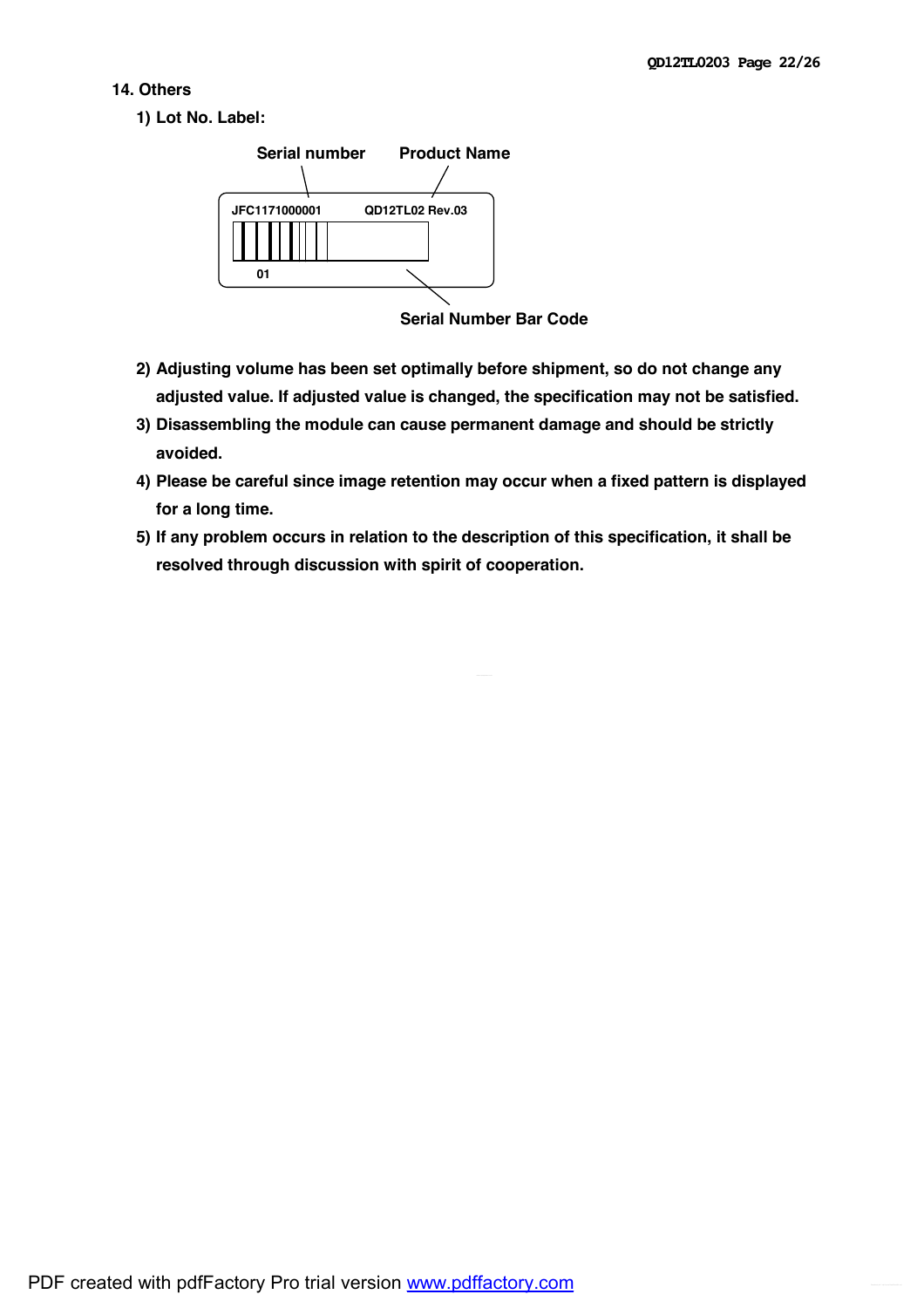#### **14. Others**

**1) Lot No. Label:** 



**Serial Number Bar Code**

- **2) Adjusting volume has been set optimally before shipment, so do not change any adjusted value. If adjusted value is changed, the specification may not be satisfied.**
- **3) Disassembling the module can cause permanent damage and should be strictly avoided.**
- **4) Please be careful since image retention may occur when a fixed pattern is displayed for a long time.**
- **5) If any problem occurs in relation to the description of this specification, it shall be resolved through discussion with spirit of cooperation.**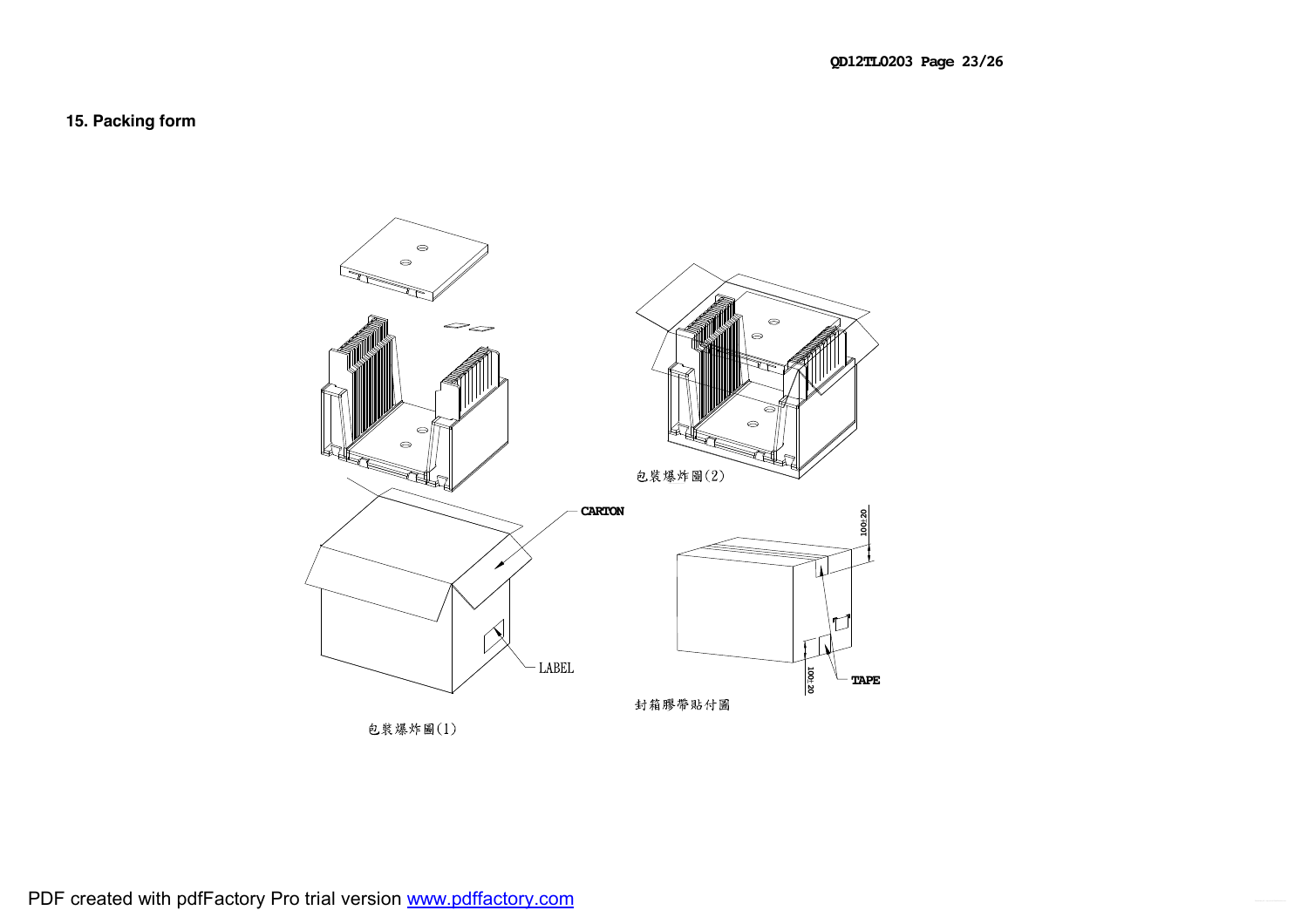**15. Packing form** 



包装爆炸圖(1)

PDF created with pdfFactory Pro trial version [www.pdffactory.com](http://www.pdffactory.com)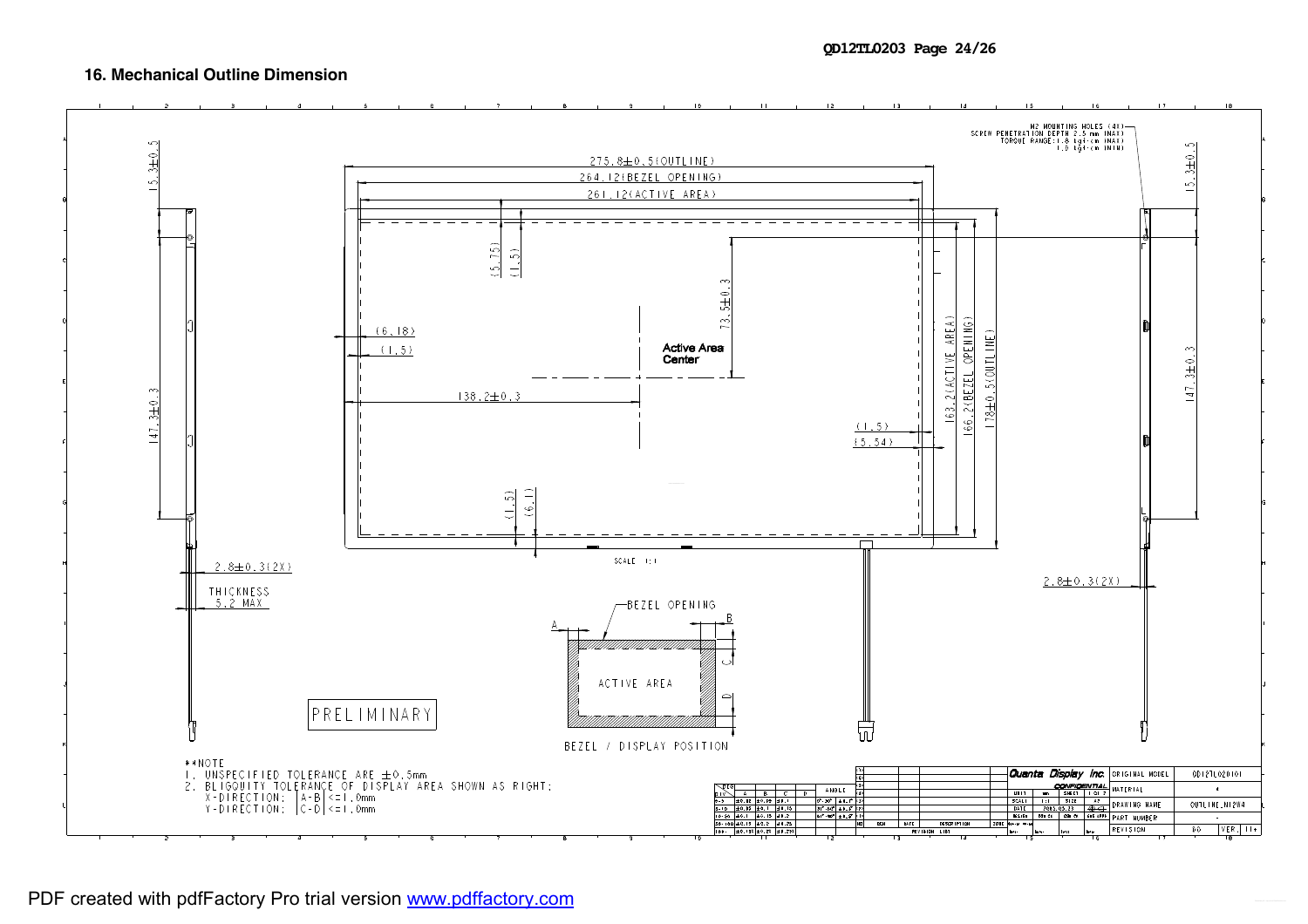#### **16. Mechanical Outline Dimension**



#### **QD12TL0203 Page 24/26**

PDF created with pdfFactory Pro trial version [www.pdffactory.com](http://www.pdffactory.com)